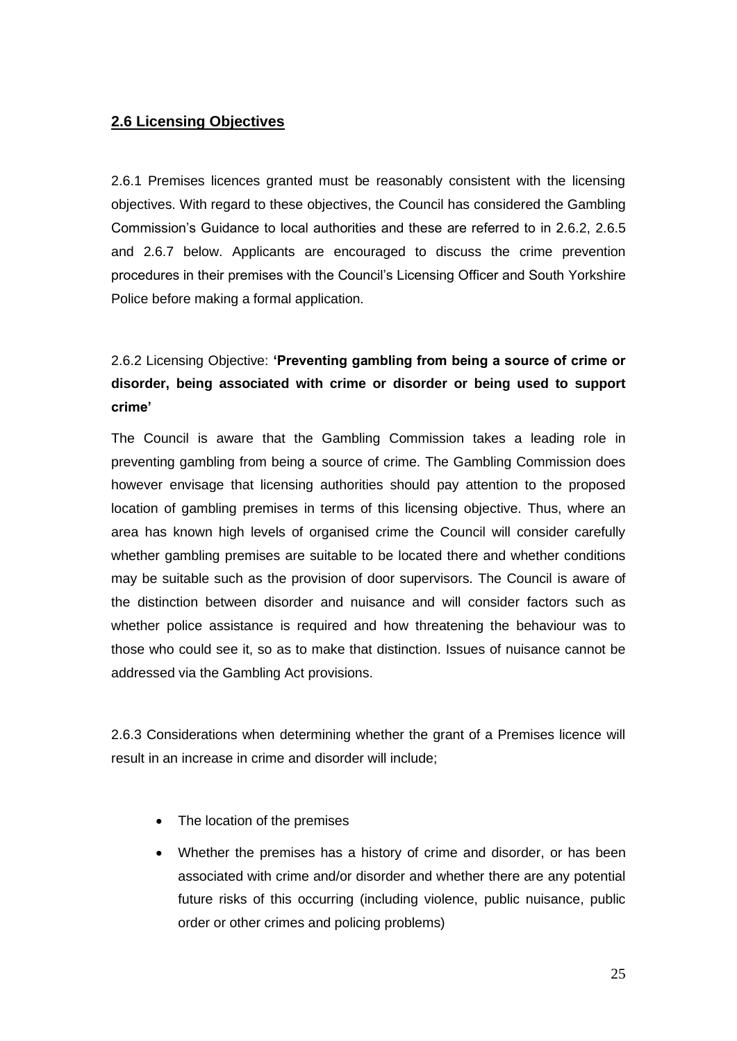# **2.6 Licensing Objectives**

2.6.1 Premises licences granted must be reasonably consistent with the licensing objectives. With regard to these objectives, the Council has considered the Gambling Commission's Guidance to local authorities and these are referred to in 2.6.2, 2.6.5 and 2.6.7 below. Applicants are encouraged to discuss the crime prevention procedures in their premises with the Council's Licensing Officer and South Yorkshire Police before making a formal application.

# 2.6.2 Licensing Objective: **'Preventing gambling from being a source of crime or disorder, being associated with crime or disorder or being used to support crime'**

The Council is aware that the Gambling Commission takes a leading role in preventing gambling from being a source of crime. The Gambling Commission does however envisage that licensing authorities should pay attention to the proposed location of gambling premises in terms of this licensing objective. Thus, where an area has known high levels of organised crime the Council will consider carefully whether gambling premises are suitable to be located there and whether conditions may be suitable such as the provision of door supervisors. The Council is aware of the distinction between disorder and nuisance and will consider factors such as whether police assistance is required and how threatening the behaviour was to those who could see it, so as to make that distinction. Issues of nuisance cannot be addressed via the Gambling Act provisions.

2.6.3 Considerations when determining whether the grant of a Premises licence will result in an increase in crime and disorder will include;

- The location of the premises
- Whether the premises has a history of crime and disorder, or has been associated with crime and/or disorder and whether there are any potential future risks of this occurring (including violence, public nuisance, public order or other crimes and policing problems)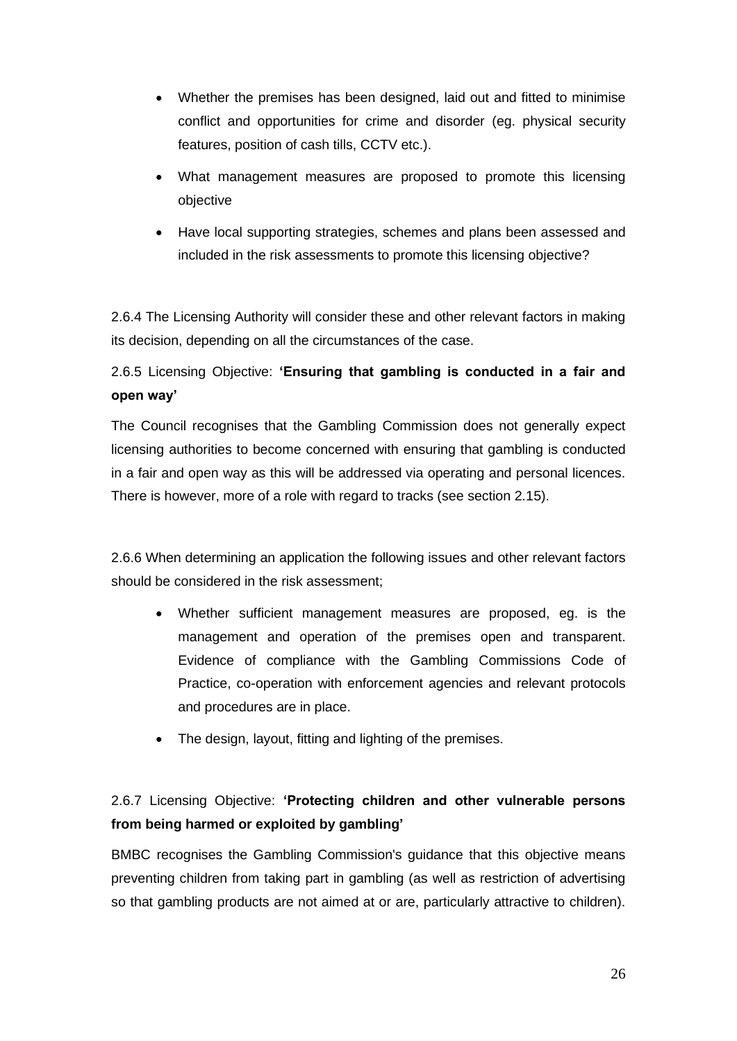- Whether the premises has been designed, laid out and fitted to minimise conflict and opportunities for crime and disorder (eg. physical security features, position of cash tills, CCTV etc.).
- What management measures are proposed to promote this licensing objective
- Have local supporting strategies, schemes and plans been assessed and included in the risk assessments to promote this licensing objective?

2.6.4 The Licensing Authority will consider these and other relevant factors in making its decision, depending on all the circumstances of the case.

# 2.6.5 Licensing Objective: **'Ensuring that gambling is conducted in a fair and open way'**

The Council recognises that the Gambling Commission does not generally expect licensing authorities to become concerned with ensuring that gambling is conducted in a fair and open way as this will be addressed via operating and personal licences. There is however, more of a role with regard to tracks (see section 2.15).

2.6.6 When determining an application the following issues and other relevant factors should be considered in the risk assessment;

- Whether sufficient management measures are proposed, eg. is the management and operation of the premises open and transparent. Evidence of compliance with the Gambling Commissions Code of Practice, co-operation with enforcement agencies and relevant protocols and procedures are in place.
- The design, layout, fitting and lighting of the premises.

# 2.6.7 Licensing Objective: **'Protecting children and other vulnerable persons from being harmed or exploited by gambling'**

BMBC recognises the Gambling Commission's guidance that this objective means preventing children from taking part in gambling (as well as restriction of advertising so that gambling products are not aimed at or are, particularly attractive to children).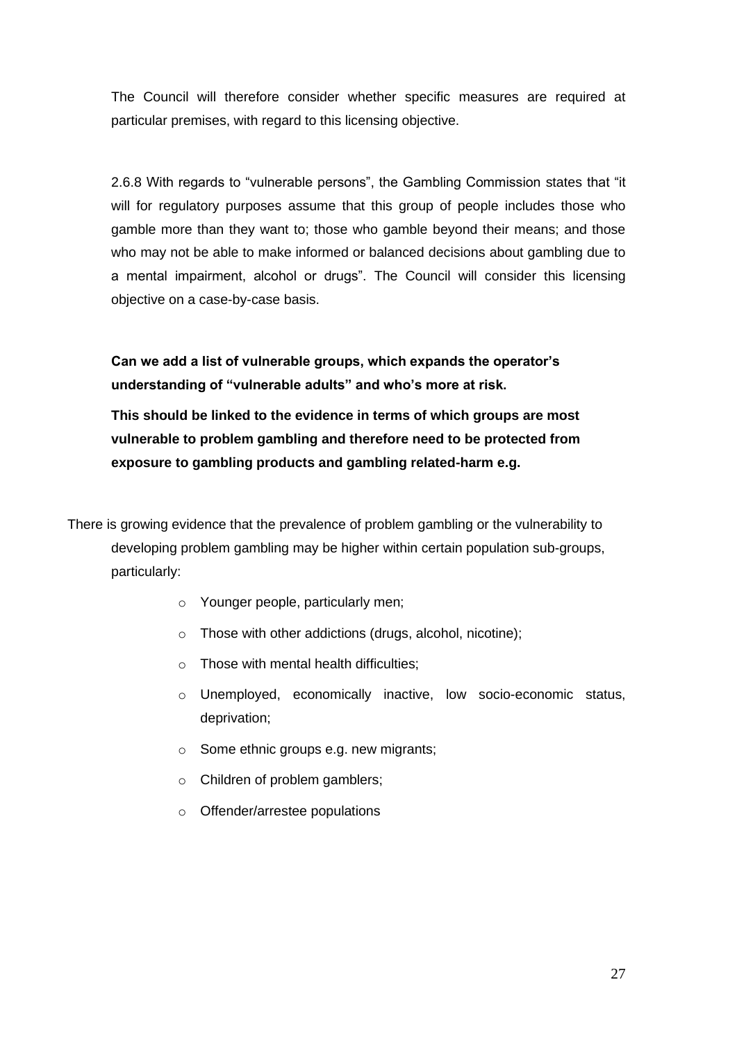The Council will therefore consider whether specific measures are required at particular premises, with regard to this licensing objective.

2.6.8 With regards to "vulnerable persons", the Gambling Commission states that "it will for regulatory purposes assume that this group of people includes those who gamble more than they want to; those who gamble beyond their means; and those who may not be able to make informed or balanced decisions about gambling due to a mental impairment, alcohol or drugs". The Council will consider this licensing objective on a case-by-case basis.

**Can we add a list of vulnerable groups, which expands the operator's understanding of "vulnerable adults" and who's more at risk.** 

**This should be linked to the evidence in terms of which groups are most vulnerable to problem gambling and therefore need to be protected from exposure to gambling products and gambling related-harm e.g.**

There is growing evidence that the prevalence of problem gambling or the vulnerability to developing problem gambling may be higher within certain population sub-groups, particularly:

- o Younger people, particularly men;
- o Those with other addictions (drugs, alcohol, nicotine);
- $\circ$  Those with mental health difficulties:
- o Unemployed, economically inactive, low socio-economic status, deprivation;
- o Some ethnic groups e.g. new migrants;
- o Children of problem gamblers;
- o Offender/arrestee populations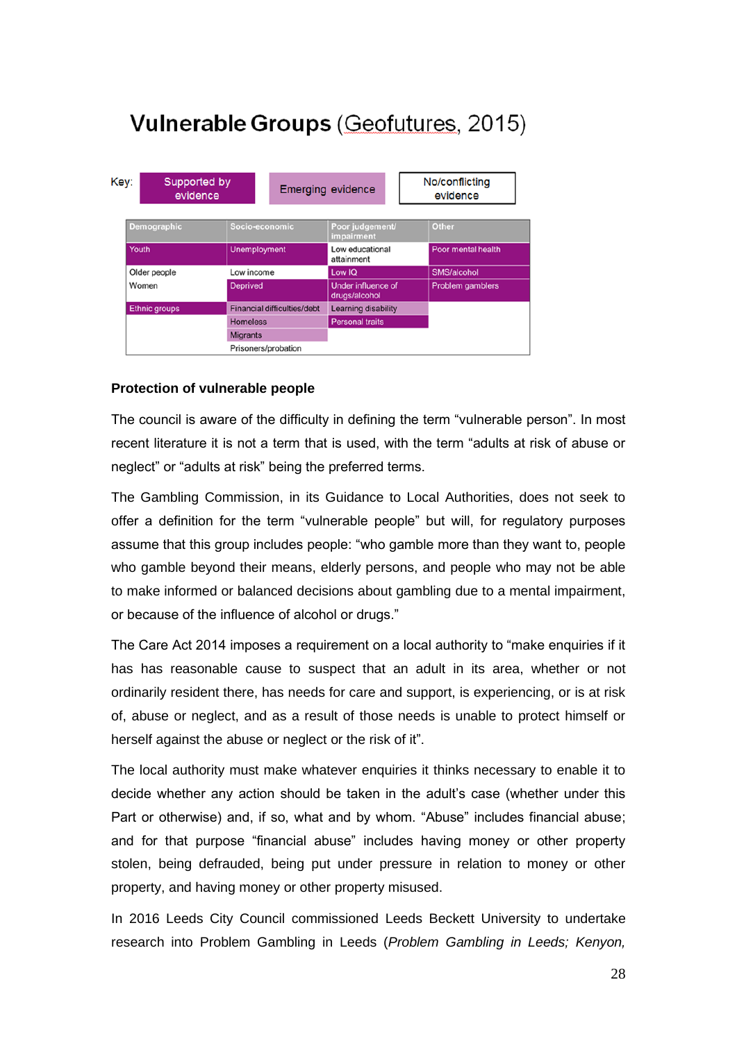# Vulnerable Groups (Geofutures, 2015)

| Key:                 | Supported by<br>evidence |                                    |                                    | <b>Emerging evidence</b>            |  | No/conflicting<br>evidence |
|----------------------|--------------------------|------------------------------------|------------------------------------|-------------------------------------|--|----------------------------|
| Demographic          |                          | Socio-economic                     |                                    | Poor judgement/<br>impairment       |  | <b>Other</b>               |
| Youth                |                          | <b>Unemployment</b>                |                                    | Low educational<br>attainment       |  | Poor mental health         |
| Older people         |                          | Low income                         |                                    | Low IQ                              |  | SMS/alcohol                |
| Women                |                          | <b>Deprived</b>                    |                                    | Under influence of<br>drugs/alcohol |  | <b>Problem gamblers</b>    |
| <b>Ethnic groups</b> |                          |                                    | <b>Financial difficulties/debt</b> | <b>Learning disability</b>          |  |                            |
|                      |                          | <b>Homeless</b><br><b>Migrants</b> |                                    | <b>Personal traits</b>              |  |                            |
|                      |                          |                                    |                                    |                                     |  |                            |
|                      |                          | Prisoners/probation                |                                    |                                     |  |                            |

#### **Protection of vulnerable people**

The council is aware of the difficulty in defining the term "vulnerable person". In most recent literature it is not a term that is used, with the term "adults at risk of abuse or neglect" or "adults at risk" being the preferred terms.

The Gambling Commission, in its Guidance to Local Authorities, does not seek to offer a definition for the term "vulnerable people" but will, for regulatory purposes assume that this group includes people: "who gamble more than they want to, people who gamble beyond their means, elderly persons, and people who may not be able to make informed or balanced decisions about gambling due to a mental impairment, or because of the influence of alcohol or drugs."

The Care Act 2014 imposes a requirement on a local authority to "make enquiries if it has has reasonable cause to suspect that an adult in its area, whether or not ordinarily resident there, has needs for care and support, is experiencing, or is at risk of, abuse or neglect, and as a result of those needs is unable to protect himself or herself against the abuse or neglect or the risk of it".

The local authority must make whatever enquiries it thinks necessary to enable it to decide whether any action should be taken in the adult's case (whether under this Part or otherwise) and, if so, what and by whom. "Abuse" includes financial abuse; and for that purpose "financial abuse" includes having money or other property stolen, being defrauded, being put under pressure in relation to money or other property, and having money or other property misused.

In 2016 Leeds City Council commissioned Leeds Beckett University to undertake research into Problem Gambling in Leeds (*Problem Gambling in Leeds; Kenyon,*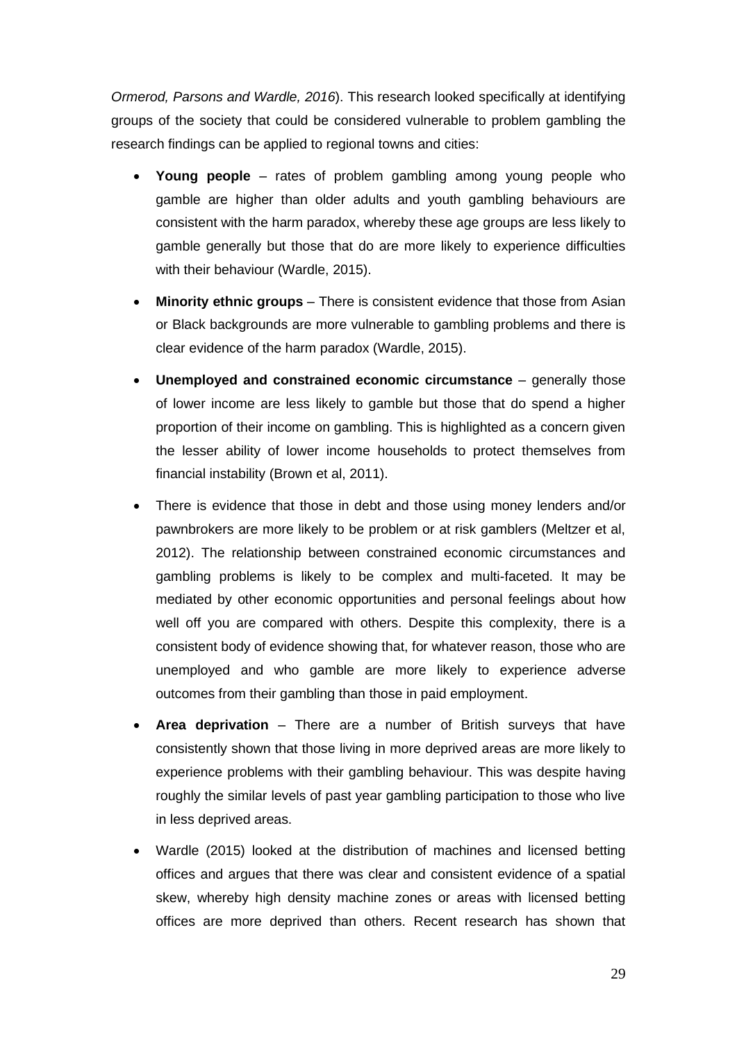*Ormerod, Parsons and Wardle, 2016*). This research looked specifically at identifying groups of the society that could be considered vulnerable to problem gambling the research findings can be applied to regional towns and cities:

- **Young people** rates of problem gambling among young people who gamble are higher than older adults and youth gambling behaviours are consistent with the harm paradox, whereby these age groups are less likely to gamble generally but those that do are more likely to experience difficulties with their behaviour (Wardle, 2015).
- **Minority ethnic groups** There is consistent evidence that those from Asian or Black backgrounds are more vulnerable to gambling problems and there is clear evidence of the harm paradox (Wardle, 2015).
- **Unemployed and constrained economic circumstance** generally those of lower income are less likely to gamble but those that do spend a higher proportion of their income on gambling. This is highlighted as a concern given the lesser ability of lower income households to protect themselves from financial instability (Brown et al, 2011).
- There is evidence that those in debt and those using money lenders and/or pawnbrokers are more likely to be problem or at risk gamblers (Meltzer et al, 2012). The relationship between constrained economic circumstances and gambling problems is likely to be complex and multi-faceted. It may be mediated by other economic opportunities and personal feelings about how well off you are compared with others. Despite this complexity, there is a consistent body of evidence showing that, for whatever reason, those who are unemployed and who gamble are more likely to experience adverse outcomes from their gambling than those in paid employment.
- **Area deprivation** There are a number of British surveys that have consistently shown that those living in more deprived areas are more likely to experience problems with their gambling behaviour. This was despite having roughly the similar levels of past year gambling participation to those who live in less deprived areas.
- Wardle (2015) looked at the distribution of machines and licensed betting offices and argues that there was clear and consistent evidence of a spatial skew, whereby high density machine zones or areas with licensed betting offices are more deprived than others. Recent research has shown that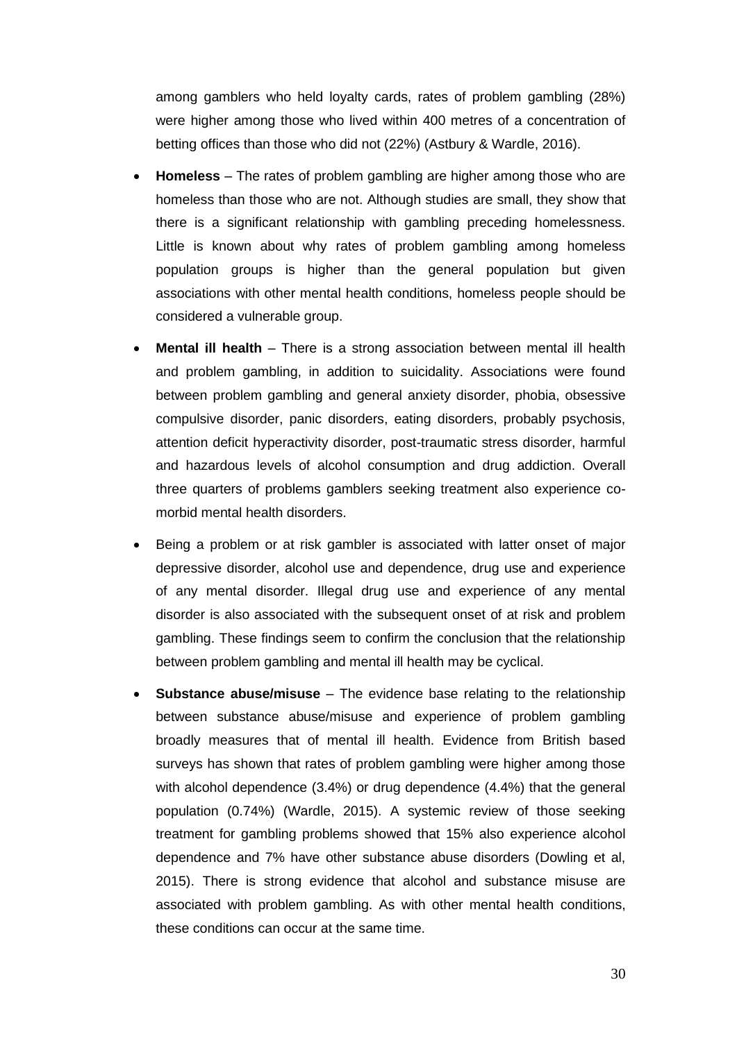among gamblers who held loyalty cards, rates of problem gambling (28%) were higher among those who lived within 400 metres of a concentration of betting offices than those who did not (22%) (Astbury & Wardle, 2016).

- **Homeless** The rates of problem gambling are higher among those who are homeless than those who are not. Although studies are small, they show that there is a significant relationship with gambling preceding homelessness. Little is known about why rates of problem gambling among homeless population groups is higher than the general population but given associations with other mental health conditions, homeless people should be considered a vulnerable group.
- **Mental ill health** There is a strong association between mental ill health and problem gambling, in addition to suicidality. Associations were found between problem gambling and general anxiety disorder, phobia, obsessive compulsive disorder, panic disorders, eating disorders, probably psychosis, attention deficit hyperactivity disorder, post-traumatic stress disorder, harmful and hazardous levels of alcohol consumption and drug addiction. Overall three quarters of problems gamblers seeking treatment also experience comorbid mental health disorders.
- Being a problem or at risk gambler is associated with latter onset of major depressive disorder, alcohol use and dependence, drug use and experience of any mental disorder. Illegal drug use and experience of any mental disorder is also associated with the subsequent onset of at risk and problem gambling. These findings seem to confirm the conclusion that the relationship between problem gambling and mental ill health may be cyclical.
- **Substance abuse/misuse** The evidence base relating to the relationship between substance abuse/misuse and experience of problem gambling broadly measures that of mental ill health. Evidence from British based surveys has shown that rates of problem gambling were higher among those with alcohol dependence (3.4%) or drug dependence (4.4%) that the general population (0.74%) (Wardle, 2015). A systemic review of those seeking treatment for gambling problems showed that 15% also experience alcohol dependence and 7% have other substance abuse disorders (Dowling et al, 2015). There is strong evidence that alcohol and substance misuse are associated with problem gambling. As with other mental health conditions, these conditions can occur at the same time.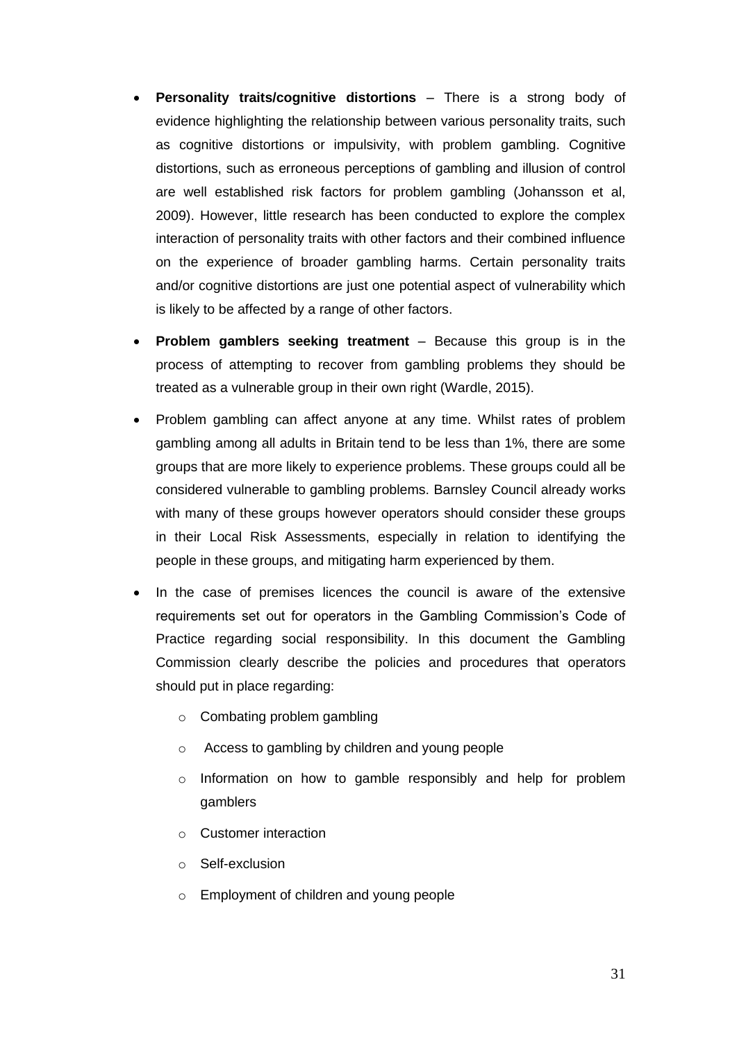- **Personality traits/cognitive distortions** There is a strong body of evidence highlighting the relationship between various personality traits, such as cognitive distortions or impulsivity, with problem gambling. Cognitive distortions, such as erroneous perceptions of gambling and illusion of control are well established risk factors for problem gambling (Johansson et al, 2009). However, little research has been conducted to explore the complex interaction of personality traits with other factors and their combined influence on the experience of broader gambling harms. Certain personality traits and/or cognitive distortions are just one potential aspect of vulnerability which is likely to be affected by a range of other factors.
- **Problem gamblers seeking treatment** Because this group is in the process of attempting to recover from gambling problems they should be treated as a vulnerable group in their own right (Wardle, 2015).
- Problem gambling can affect anyone at any time. Whilst rates of problem gambling among all adults in Britain tend to be less than 1%, there are some groups that are more likely to experience problems. These groups could all be considered vulnerable to gambling problems. Barnsley Council already works with many of these groups however operators should consider these groups in their Local Risk Assessments, especially in relation to identifying the people in these groups, and mitigating harm experienced by them.
- In the case of premises licences the council is aware of the extensive requirements set out for operators in the Gambling Commission's Code of Practice regarding social responsibility. In this document the Gambling Commission clearly describe the policies and procedures that operators should put in place regarding:
	- o Combating problem gambling
	- o Access to gambling by children and young people
	- o Information on how to gamble responsibly and help for problem gamblers
	- o Customer interaction
	- o Self-exclusion
	- o Employment of children and young people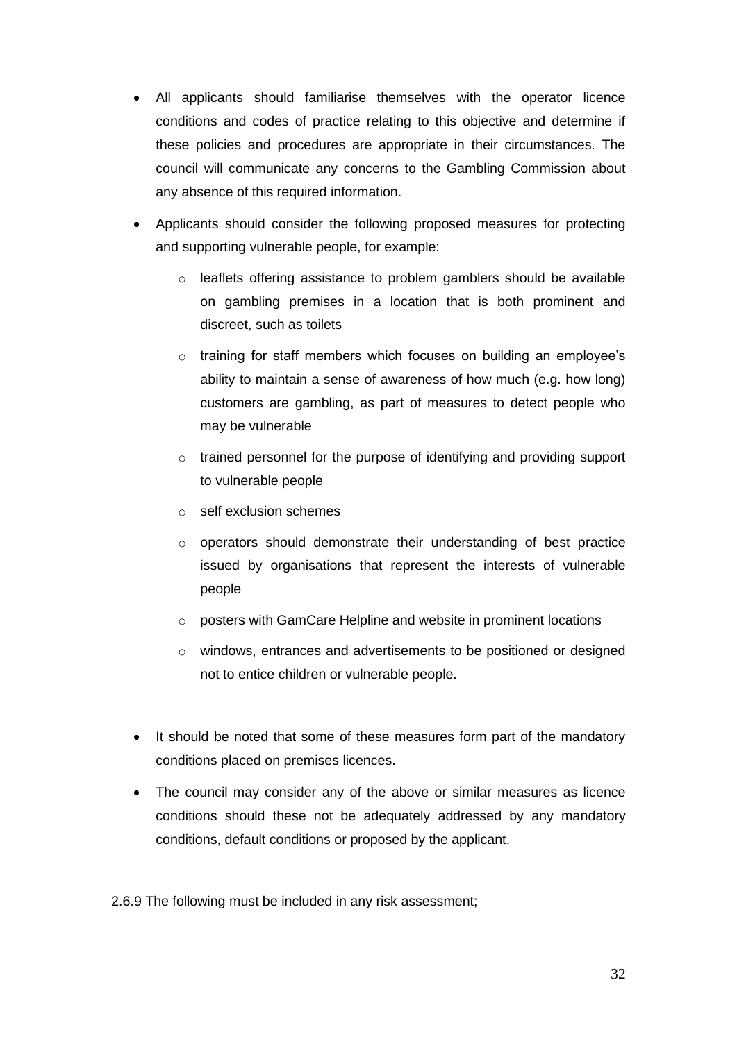- All applicants should familiarise themselves with the operator licence conditions and codes of practice relating to this objective and determine if these policies and procedures are appropriate in their circumstances. The council will communicate any concerns to the Gambling Commission about any absence of this required information.
- Applicants should consider the following proposed measures for protecting and supporting vulnerable people, for example:
	- o leaflets offering assistance to problem gamblers should be available on gambling premises in a location that is both prominent and discreet, such as toilets
	- o training for staff members which focuses on building an employee's ability to maintain a sense of awareness of how much (e.g. how long) customers are gambling, as part of measures to detect people who may be vulnerable
	- o trained personnel for the purpose of identifying and providing support to vulnerable people
	- o self exclusion schemes
	- o operators should demonstrate their understanding of best practice issued by organisations that represent the interests of vulnerable people
	- o posters with GamCare Helpline and website in prominent locations
	- o windows, entrances and advertisements to be positioned or designed not to entice children or vulnerable people.
- It should be noted that some of these measures form part of the mandatory conditions placed on premises licences.
- The council may consider any of the above or similar measures as licence conditions should these not be adequately addressed by any mandatory conditions, default conditions or proposed by the applicant.

2.6.9 The following must be included in any risk assessment;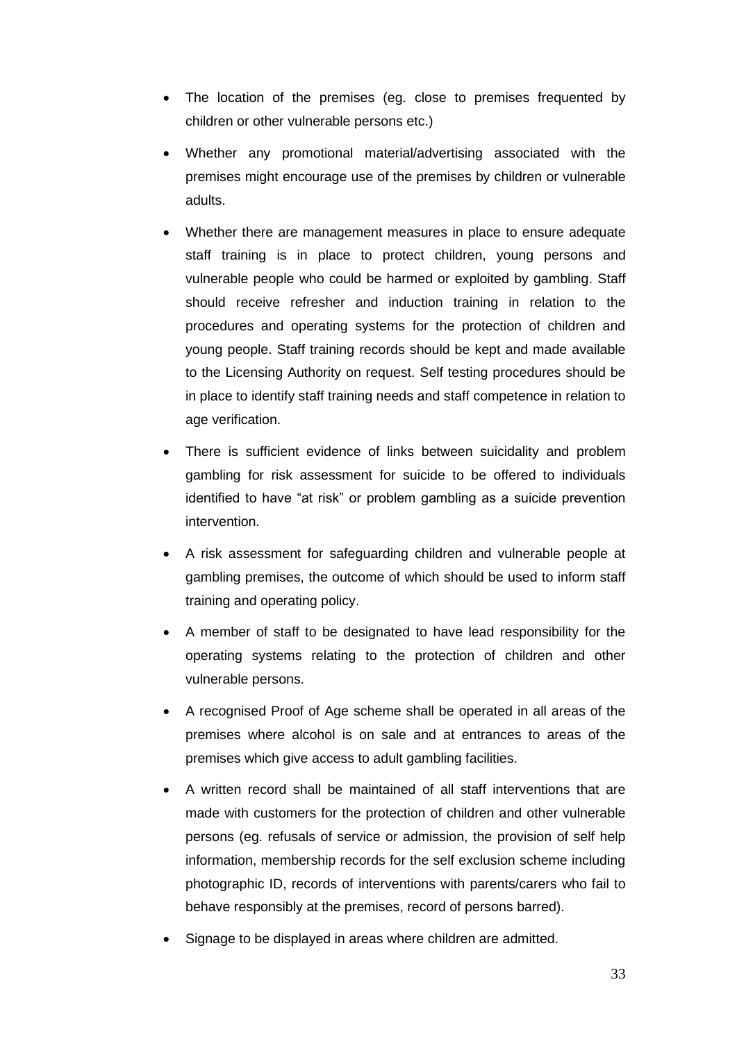- The location of the premises (eg. close to premises frequented by children or other vulnerable persons etc.)
- Whether any promotional material/advertising associated with the premises might encourage use of the premises by children or vulnerable adults.
- Whether there are management measures in place to ensure adequate staff training is in place to protect children, young persons and vulnerable people who could be harmed or exploited by gambling. Staff should receive refresher and induction training in relation to the procedures and operating systems for the protection of children and young people. Staff training records should be kept and made available to the Licensing Authority on request. Self testing procedures should be in place to identify staff training needs and staff competence in relation to age verification.
- There is sufficient evidence of links between suicidality and problem gambling for risk assessment for suicide to be offered to individuals identified to have "at risk" or problem gambling as a suicide prevention intervention.
- A risk assessment for safeguarding children and vulnerable people at gambling premises, the outcome of which should be used to inform staff training and operating policy.
- A member of staff to be designated to have lead responsibility for the operating systems relating to the protection of children and other vulnerable persons.
- A recognised Proof of Age scheme shall be operated in all areas of the premises where alcohol is on sale and at entrances to areas of the premises which give access to adult gambling facilities.
- A written record shall be maintained of all staff interventions that are made with customers for the protection of children and other vulnerable persons (eg. refusals of service or admission, the provision of self help information, membership records for the self exclusion scheme including photographic ID, records of interventions with parents/carers who fail to behave responsibly at the premises, record of persons barred).
- Signage to be displayed in areas where children are admitted.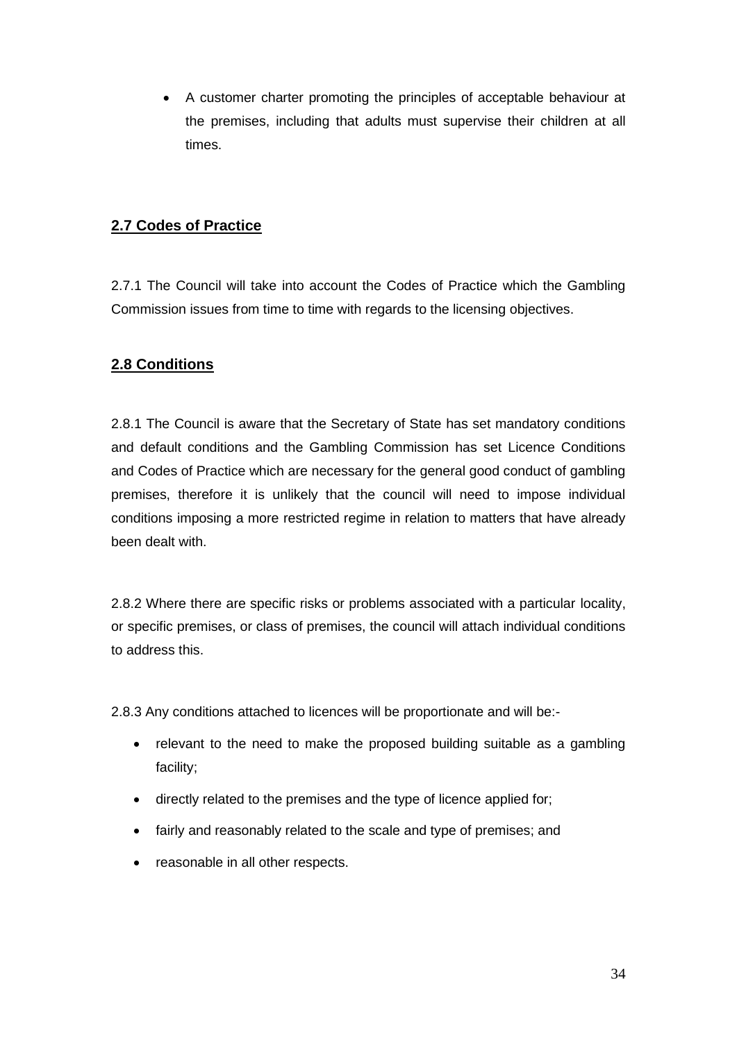• A customer charter promoting the principles of acceptable behaviour at the premises, including that adults must supervise their children at all times.

## **2.7 Codes of Practice**

2.7.1 The Council will take into account the Codes of Practice which the Gambling Commission issues from time to time with regards to the licensing objectives.

# **2.8 Conditions**

2.8.1 The Council is aware that the Secretary of State has set mandatory conditions and default conditions and the Gambling Commission has set Licence Conditions and Codes of Practice which are necessary for the general good conduct of gambling premises, therefore it is unlikely that the council will need to impose individual conditions imposing a more restricted regime in relation to matters that have already been dealt with.

2.8.2 Where there are specific risks or problems associated with a particular locality, or specific premises, or class of premises, the council will attach individual conditions to address this.

2.8.3 Any conditions attached to licences will be proportionate and will be:-

- relevant to the need to make the proposed building suitable as a gambling facility;
- directly related to the premises and the type of licence applied for;
- fairly and reasonably related to the scale and type of premises; and
- reasonable in all other respects.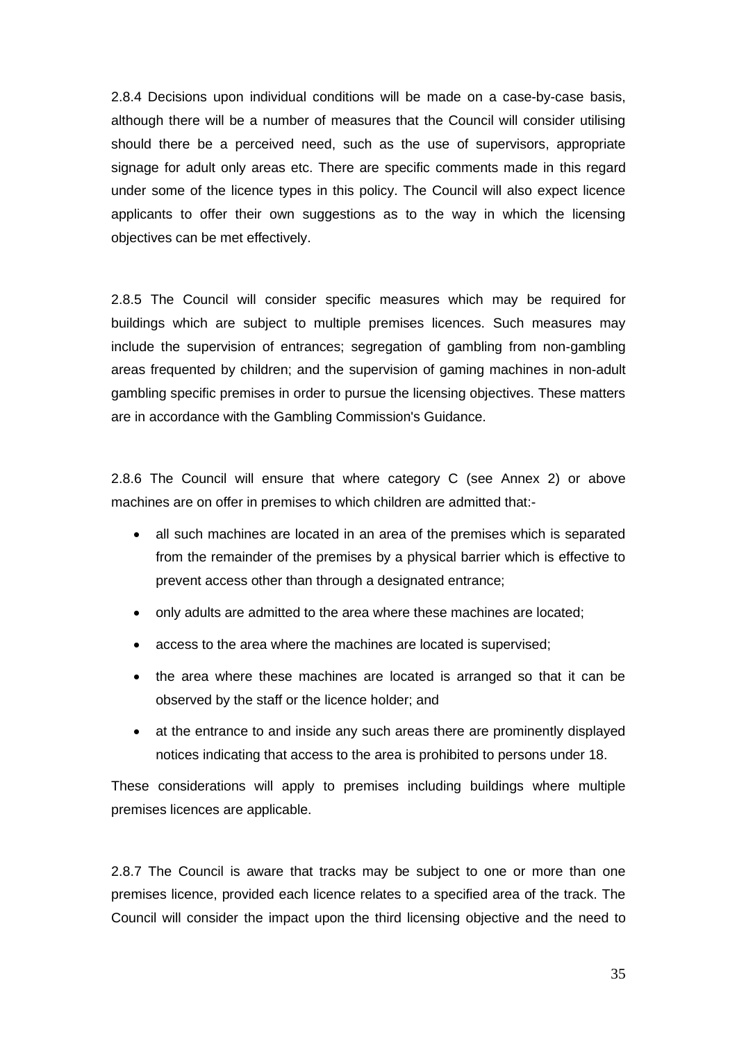2.8.4 Decisions upon individual conditions will be made on a case-by-case basis, although there will be a number of measures that the Council will consider utilising should there be a perceived need, such as the use of supervisors, appropriate signage for adult only areas etc. There are specific comments made in this regard under some of the licence types in this policy. The Council will also expect licence applicants to offer their own suggestions as to the way in which the licensing objectives can be met effectively.

2.8.5 The Council will consider specific measures which may be required for buildings which are subject to multiple premises licences. Such measures may include the supervision of entrances; segregation of gambling from non-gambling areas frequented by children; and the supervision of gaming machines in non-adult gambling specific premises in order to pursue the licensing objectives. These matters are in accordance with the Gambling Commission's Guidance.

2.8.6 The Council will ensure that where category C (see Annex 2) or above machines are on offer in premises to which children are admitted that:-

- all such machines are located in an area of the premises which is separated from the remainder of the premises by a physical barrier which is effective to prevent access other than through a designated entrance;
- only adults are admitted to the area where these machines are located;
- access to the area where the machines are located is supervised;
- the area where these machines are located is arranged so that it can be observed by the staff or the licence holder; and
- at the entrance to and inside any such areas there are prominently displayed notices indicating that access to the area is prohibited to persons under 18.

These considerations will apply to premises including buildings where multiple premises licences are applicable.

2.8.7 The Council is aware that tracks may be subject to one or more than one premises licence, provided each licence relates to a specified area of the track. The Council will consider the impact upon the third licensing objective and the need to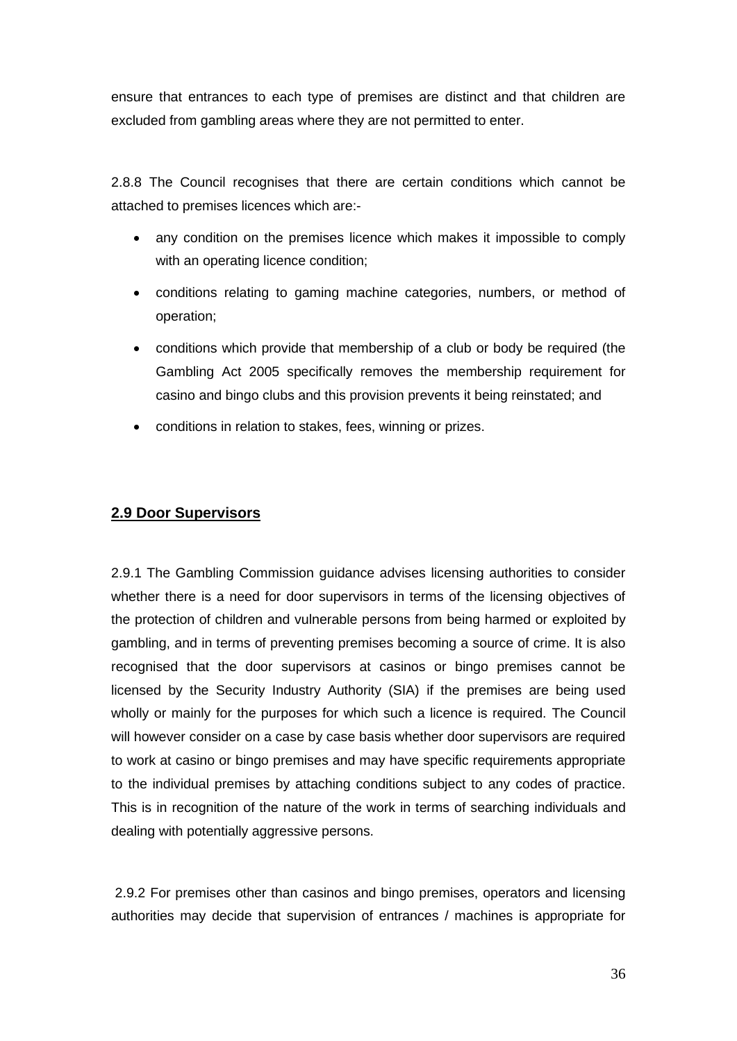ensure that entrances to each type of premises are distinct and that children are excluded from gambling areas where they are not permitted to enter.

2.8.8 The Council recognises that there are certain conditions which cannot be attached to premises licences which are:-

- any condition on the premises licence which makes it impossible to comply with an operating licence condition;
- conditions relating to gaming machine categories, numbers, or method of operation;
- conditions which provide that membership of a club or body be required (the Gambling Act 2005 specifically removes the membership requirement for casino and bingo clubs and this provision prevents it being reinstated; and
- conditions in relation to stakes, fees, winning or prizes.

#### **2.9 Door Supervisors**

2.9.1 The Gambling Commission guidance advises licensing authorities to consider whether there is a need for door supervisors in terms of the licensing objectives of the protection of children and vulnerable persons from being harmed or exploited by gambling, and in terms of preventing premises becoming a source of crime. It is also recognised that the door supervisors at casinos or bingo premises cannot be licensed by the Security Industry Authority (SIA) if the premises are being used wholly or mainly for the purposes for which such a licence is required. The Council will however consider on a case by case basis whether door supervisors are required to work at casino or bingo premises and may have specific requirements appropriate to the individual premises by attaching conditions subject to any codes of practice. This is in recognition of the nature of the work in terms of searching individuals and dealing with potentially aggressive persons.

2.9.2 For premises other than casinos and bingo premises, operators and licensing authorities may decide that supervision of entrances / machines is appropriate for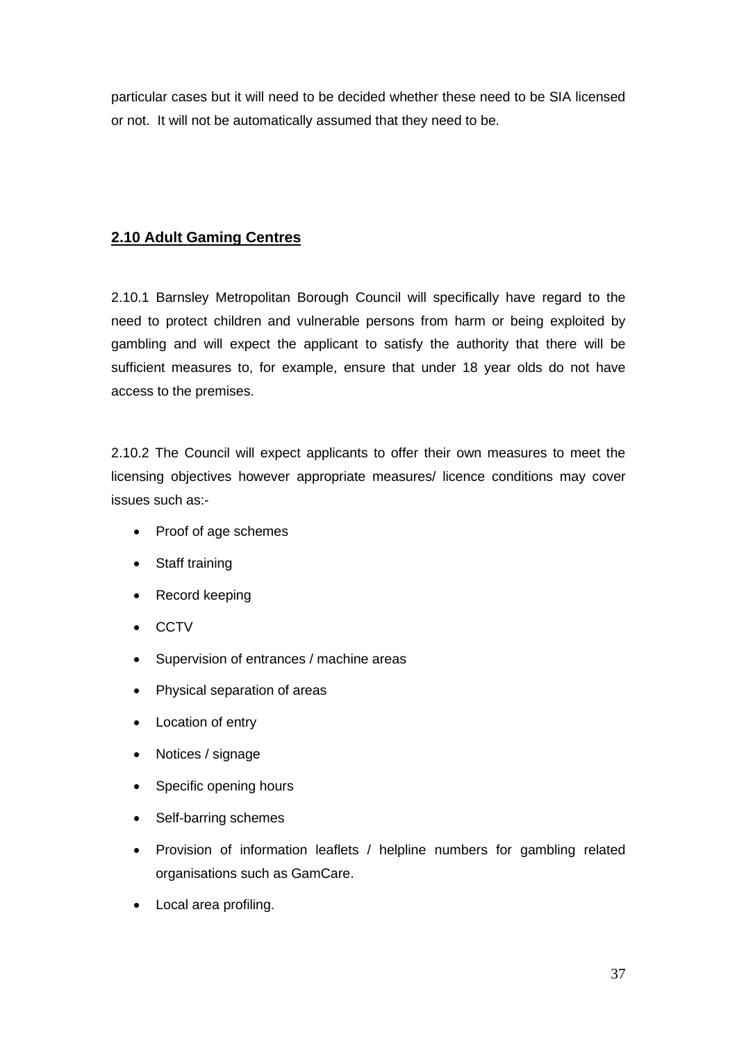particular cases but it will need to be decided whether these need to be SIA licensed or not. It will not be automatically assumed that they need to be.

## **2.10 Adult Gaming Centres**

2.10.1 Barnsley Metropolitan Borough Council will specifically have regard to the need to protect children and vulnerable persons from harm or being exploited by gambling and will expect the applicant to satisfy the authority that there will be sufficient measures to, for example, ensure that under 18 year olds do not have access to the premises.

2.10.2 The Council will expect applicants to offer their own measures to meet the licensing objectives however appropriate measures/ licence conditions may cover issues such as:-

- Proof of age schemes
- Staff training
- Record keeping
- CCTV
- Supervision of entrances / machine areas
- Physical separation of areas
- Location of entry
- Notices / signage
- Specific opening hours
- Self-barring schemes
- Provision of information leaflets / helpline numbers for gambling related organisations such as GamCare.
- Local area profiling.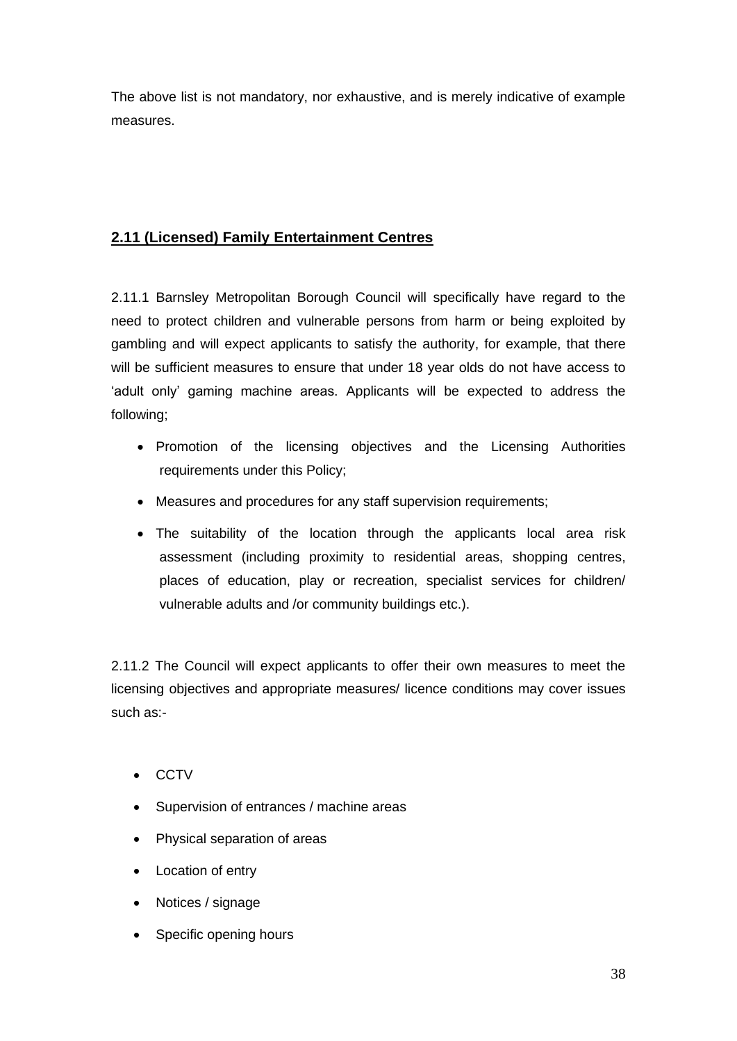The above list is not mandatory, nor exhaustive, and is merely indicative of example measures.

# **2.11 (Licensed) Family Entertainment Centres**

2.11.1 Barnsley Metropolitan Borough Council will specifically have regard to the need to protect children and vulnerable persons from harm or being exploited by gambling and will expect applicants to satisfy the authority, for example, that there will be sufficient measures to ensure that under 18 year olds do not have access to 'adult only' gaming machine areas. Applicants will be expected to address the following;

- Promotion of the licensing objectives and the Licensing Authorities requirements under this Policy;
- Measures and procedures for any staff supervision requirements;
- The suitability of the location through the applicants local area risk assessment (including proximity to residential areas, shopping centres, places of education, play or recreation, specialist services for children/ vulnerable adults and /or community buildings etc.).

2.11.2 The Council will expect applicants to offer their own measures to meet the licensing objectives and appropriate measures/ licence conditions may cover issues such as:-

- CCTV
- Supervision of entrances / machine areas
- Physical separation of areas
- Location of entry
- Notices / signage
- Specific opening hours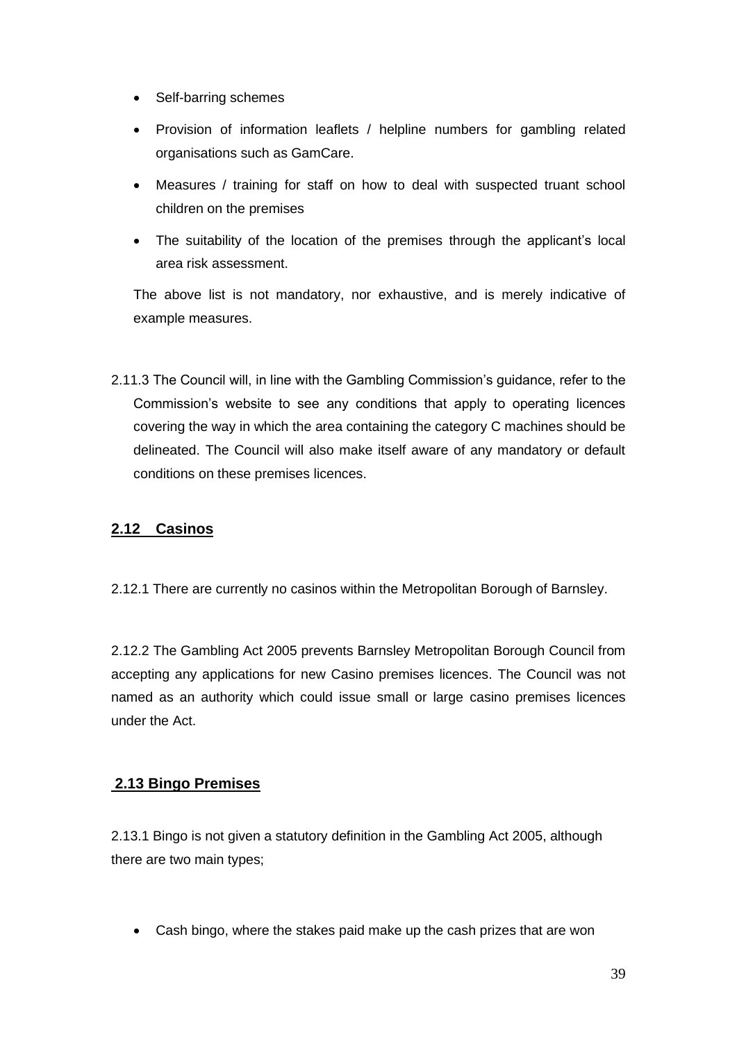- Self-barring schemes
- Provision of information leaflets / helpline numbers for gambling related organisations such as GamCare.
- Measures / training for staff on how to deal with suspected truant school children on the premises
- The suitability of the location of the premises through the applicant's local area risk assessment.

The above list is not mandatory, nor exhaustive, and is merely indicative of example measures.

2.11.3 The Council will, in line with the Gambling Commission's guidance, refer to the Commission's website to see any conditions that apply to operating licences covering the way in which the area containing the category C machines should be delineated. The Council will also make itself aware of any mandatory or default conditions on these premises licences.

# **2.12 Casinos**

2.12.1 There are currently no casinos within the Metropolitan Borough of Barnsley.

2.12.2 The Gambling Act 2005 prevents Barnsley Metropolitan Borough Council from accepting any applications for new Casino premises licences. The Council was not named as an authority which could issue small or large casino premises licences under the Act.

#### **2.13 Bingo Premises**

2.13.1 Bingo is not given a statutory definition in the Gambling Act 2005, although there are two main types;

• Cash bingo, where the stakes paid make up the cash prizes that are won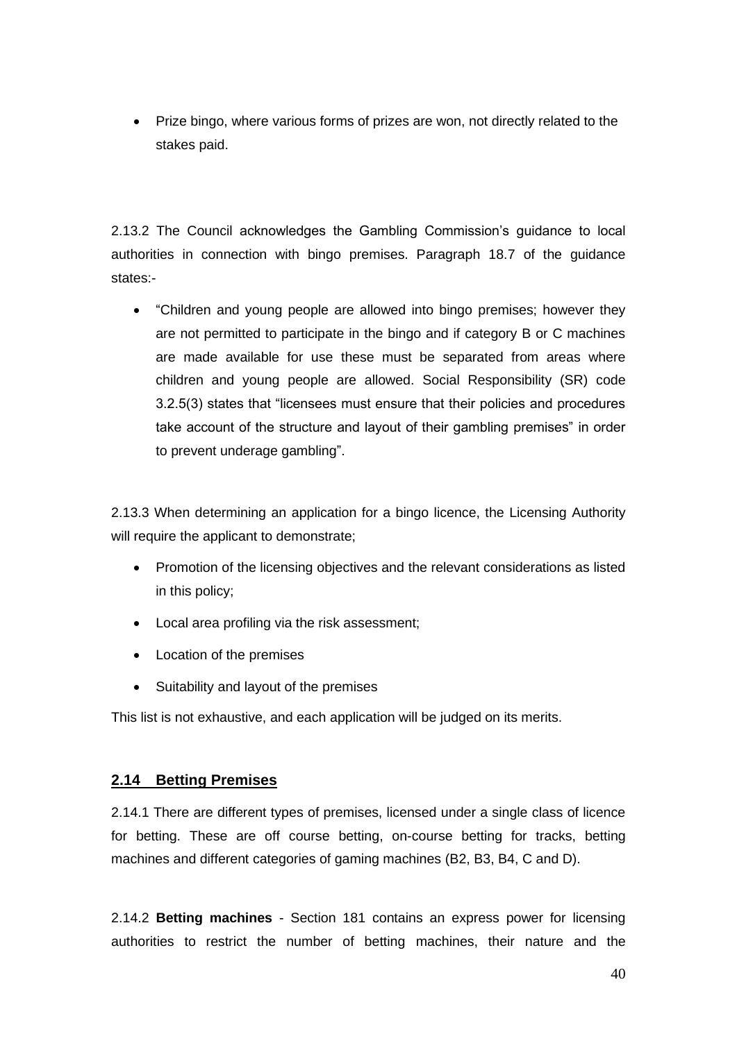• Prize bingo, where various forms of prizes are won, not directly related to the stakes paid.

2.13.2 The Council acknowledges the Gambling Commission's guidance to local authorities in connection with bingo premises. Paragraph 18.7 of the guidance states:-

• "Children and young people are allowed into bingo premises; however they are not permitted to participate in the bingo and if category B or C machines are made available for use these must be separated from areas where children and young people are allowed. Social Responsibility (SR) code 3.2.5(3) states that "licensees must ensure that their policies and procedures take account of the structure and layout of their gambling premises" in order to prevent underage gambling".

2.13.3 When determining an application for a bingo licence, the Licensing Authority will require the applicant to demonstrate:

- Promotion of the licensing objectives and the relevant considerations as listed in this policy;
- Local area profiling via the risk assessment;
- Location of the premises
- Suitability and layout of the premises

This list is not exhaustive, and each application will be judged on its merits.

#### **2.14 Betting Premises**

2.14.1 There are different types of premises, licensed under a single class of licence for betting. These are off course betting, on-course betting for tracks, betting machines and different categories of gaming machines (B2, B3, B4, C and D).

2.14.2 **Betting machines** - Section 181 contains an express power for licensing authorities to restrict the number of betting machines, their nature and the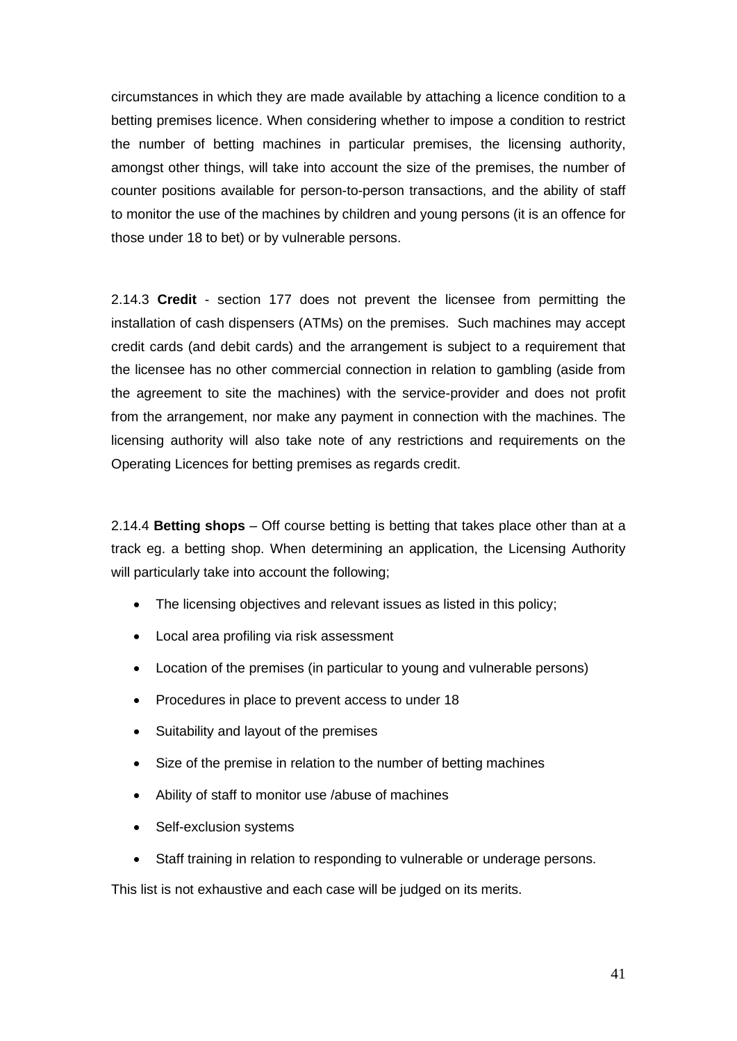circumstances in which they are made available by attaching a licence condition to a betting premises licence. When considering whether to impose a condition to restrict the number of betting machines in particular premises, the licensing authority, amongst other things, will take into account the size of the premises, the number of counter positions available for person-to-person transactions, and the ability of staff to monitor the use of the machines by children and young persons (it is an offence for those under 18 to bet) or by vulnerable persons.

2.14.3 **Credit** - section 177 does not prevent the licensee from permitting the installation of cash dispensers (ATMs) on the premises. Such machines may accept credit cards (and debit cards) and the arrangement is subject to a requirement that the licensee has no other commercial connection in relation to gambling (aside from the agreement to site the machines) with the service-provider and does not profit from the arrangement, nor make any payment in connection with the machines. The licensing authority will also take note of any restrictions and requirements on the Operating Licences for betting premises as regards credit.

2.14.4 **Betting shops** – Off course betting is betting that takes place other than at a track eg. a betting shop. When determining an application, the Licensing Authority will particularly take into account the following;

- The licensing objectives and relevant issues as listed in this policy;
- Local area profiling via risk assessment
- Location of the premises (in particular to young and vulnerable persons)
- Procedures in place to prevent access to under 18
- Suitability and layout of the premises
- Size of the premise in relation to the number of betting machines
- Ability of staff to monitor use /abuse of machines
- Self-exclusion systems
- Staff training in relation to responding to vulnerable or underage persons.

This list is not exhaustive and each case will be judged on its merits.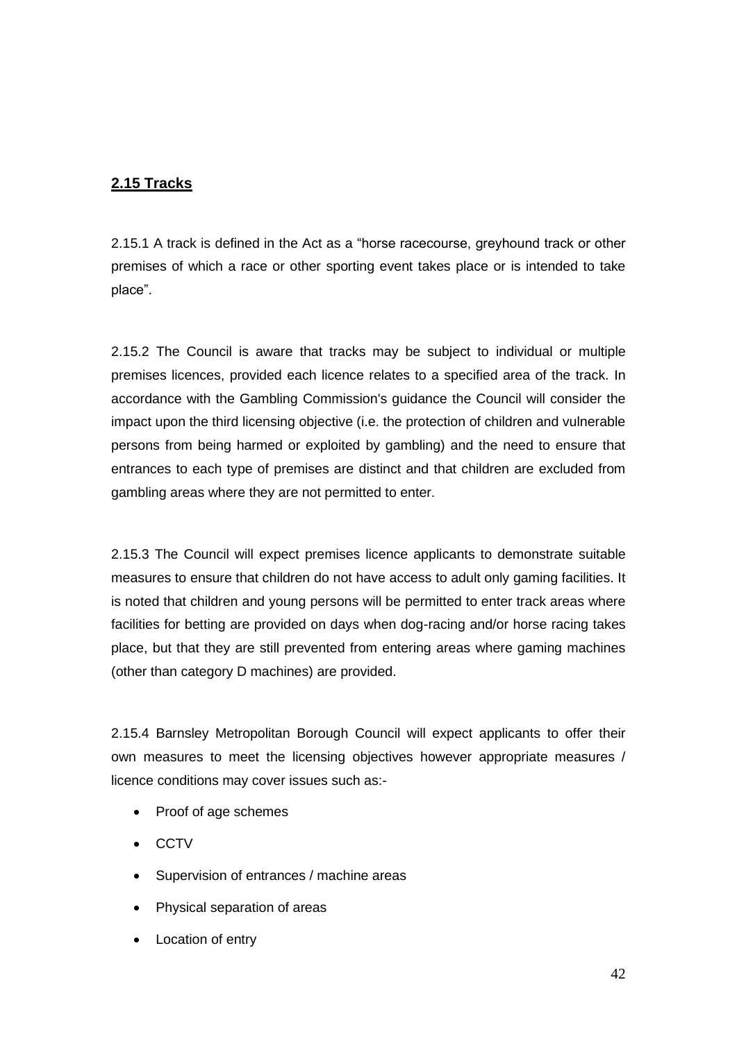# **2.15 Tracks**

2.15.1 A track is defined in the Act as a "horse racecourse, greyhound track or other premises of which a race or other sporting event takes place or is intended to take place".

2.15.2 The Council is aware that tracks may be subject to individual or multiple premises licences, provided each licence relates to a specified area of the track. In accordance with the Gambling Commission's guidance the Council will consider the impact upon the third licensing objective (i.e. the protection of children and vulnerable persons from being harmed or exploited by gambling) and the need to ensure that entrances to each type of premises are distinct and that children are excluded from gambling areas where they are not permitted to enter.

2.15.3 The Council will expect premises licence applicants to demonstrate suitable measures to ensure that children do not have access to adult only gaming facilities. It is noted that children and young persons will be permitted to enter track areas where facilities for betting are provided on days when dog-racing and/or horse racing takes place, but that they are still prevented from entering areas where gaming machines (other than category D machines) are provided.

2.15.4 Barnsley Metropolitan Borough Council will expect applicants to offer their own measures to meet the licensing objectives however appropriate measures / licence conditions may cover issues such as:-

- Proof of age schemes
- CCTV
- Supervision of entrances / machine areas
- Physical separation of areas
- **Location of entry**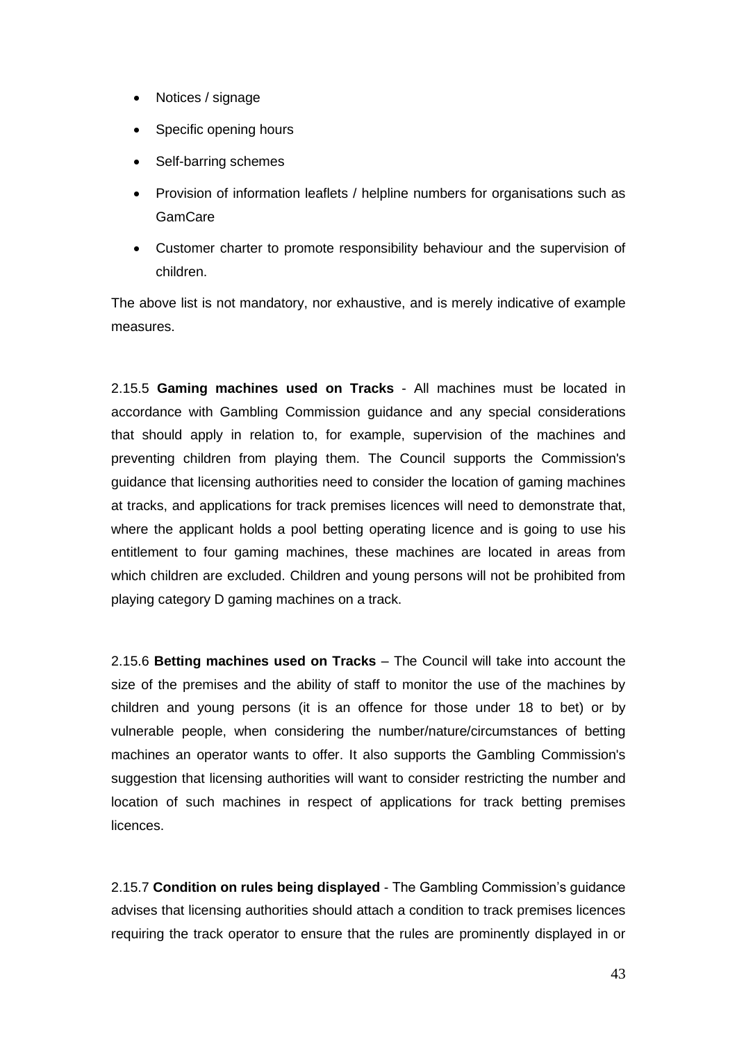- Notices / signage
- Specific opening hours
- Self-barring schemes
- Provision of information leaflets / helpline numbers for organisations such as **GamCare**
- Customer charter to promote responsibility behaviour and the supervision of children.

The above list is not mandatory, nor exhaustive, and is merely indicative of example measures.

2.15.5 **Gaming machines used on Tracks** - All machines must be located in accordance with Gambling Commission guidance and any special considerations that should apply in relation to, for example, supervision of the machines and preventing children from playing them. The Council supports the Commission's guidance that licensing authorities need to consider the location of gaming machines at tracks, and applications for track premises licences will need to demonstrate that, where the applicant holds a pool betting operating licence and is going to use his entitlement to four gaming machines, these machines are located in areas from which children are excluded. Children and young persons will not be prohibited from playing category D gaming machines on a track.

2.15.6 **Betting machines used on Tracks** – The Council will take into account the size of the premises and the ability of staff to monitor the use of the machines by children and young persons (it is an offence for those under 18 to bet) or by vulnerable people, when considering the number/nature/circumstances of betting machines an operator wants to offer. It also supports the Gambling Commission's suggestion that licensing authorities will want to consider restricting the number and location of such machines in respect of applications for track betting premises licences.

2.15.7 **Condition on rules being displayed** - The Gambling Commission's guidance advises that licensing authorities should attach a condition to track premises licences requiring the track operator to ensure that the rules are prominently displayed in or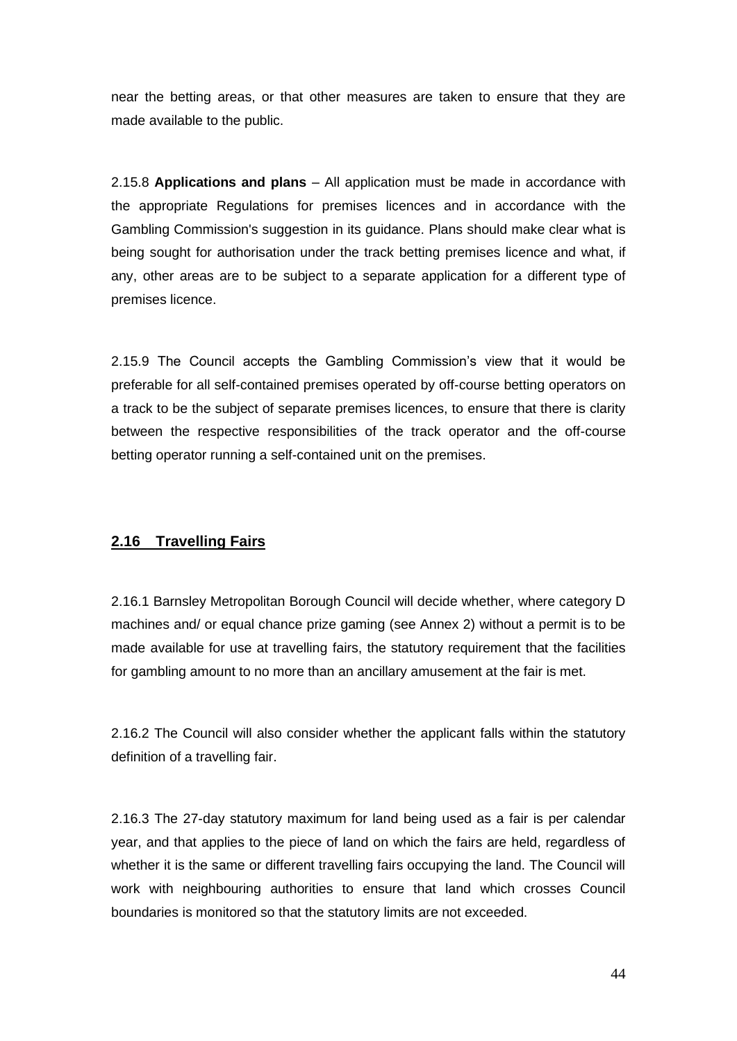near the betting areas, or that other measures are taken to ensure that they are made available to the public.

2.15.8 **Applications and plans** – All application must be made in accordance with the appropriate Regulations for premises licences and in accordance with the Gambling Commission's suggestion in its guidance. Plans should make clear what is being sought for authorisation under the track betting premises licence and what, if any, other areas are to be subject to a separate application for a different type of premises licence.

2.15.9 The Council accepts the Gambling Commission's view that it would be preferable for all self-contained premises operated by off-course betting operators on a track to be the subject of separate premises licences, to ensure that there is clarity between the respective responsibilities of the track operator and the off-course betting operator running a self-contained unit on the premises.

#### **2.16 Travelling Fairs**

2.16.1 Barnsley Metropolitan Borough Council will decide whether, where category D machines and/ or equal chance prize gaming (see Annex 2) without a permit is to be made available for use at travelling fairs, the statutory requirement that the facilities for gambling amount to no more than an ancillary amusement at the fair is met.

2.16.2 The Council will also consider whether the applicant falls within the statutory definition of a travelling fair.

2.16.3 The 27-day statutory maximum for land being used as a fair is per calendar year, and that applies to the piece of land on which the fairs are held, regardless of whether it is the same or different travelling fairs occupying the land. The Council will work with neighbouring authorities to ensure that land which crosses Council boundaries is monitored so that the statutory limits are not exceeded.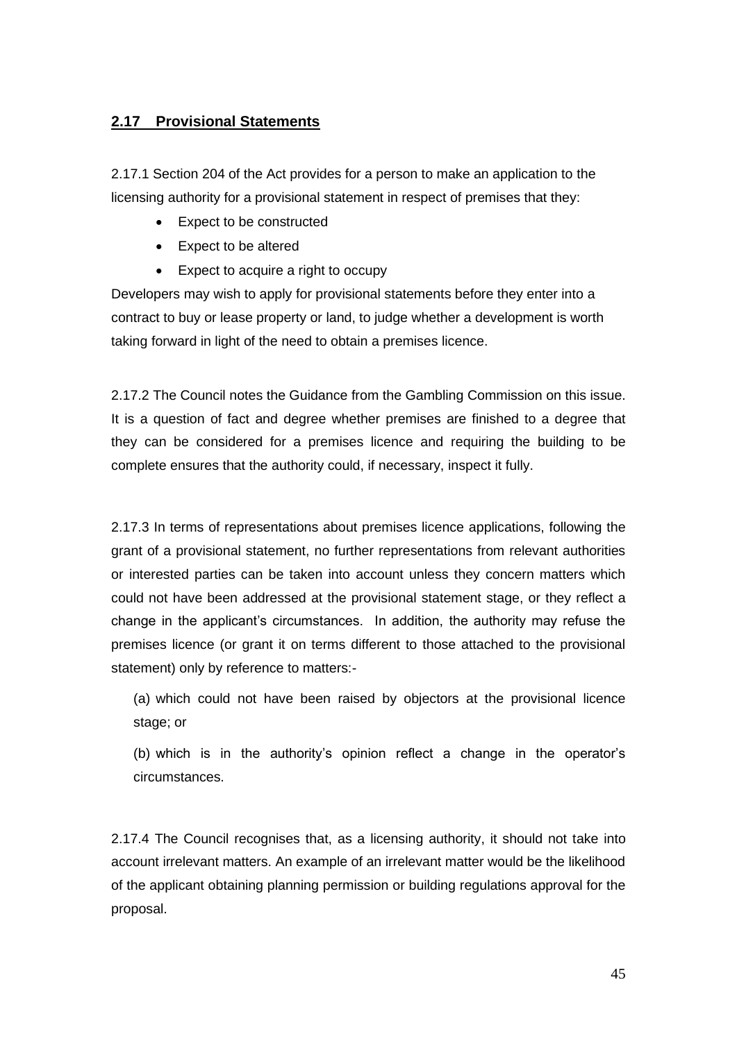# **2.17 Provisional Statements**

2.17.1 Section 204 of the Act provides for a person to make an application to the licensing authority for a provisional statement in respect of premises that they:

- Expect to be constructed
- Expect to be altered
- Expect to acquire a right to occupy

Developers may wish to apply for provisional statements before they enter into a contract to buy or lease property or land, to judge whether a development is worth taking forward in light of the need to obtain a premises licence.

2.17.2 The Council notes the Guidance from the Gambling Commission on this issue. It is a question of fact and degree whether premises are finished to a degree that they can be considered for a premises licence and requiring the building to be complete ensures that the authority could, if necessary, inspect it fully.

2.17.3 In terms of representations about premises licence applications, following the grant of a provisional statement, no further representations from relevant authorities or interested parties can be taken into account unless they concern matters which could not have been addressed at the provisional statement stage, or they reflect a change in the applicant's circumstances. In addition, the authority may refuse the premises licence (or grant it on terms different to those attached to the provisional statement) only by reference to matters:-

(a) which could not have been raised by objectors at the provisional licence stage; or

(b) which is in the authority's opinion reflect a change in the operator's circumstances.

2.17.4 The Council recognises that, as a licensing authority, it should not take into account irrelevant matters. An example of an irrelevant matter would be the likelihood of the applicant obtaining planning permission or building regulations approval for the proposal.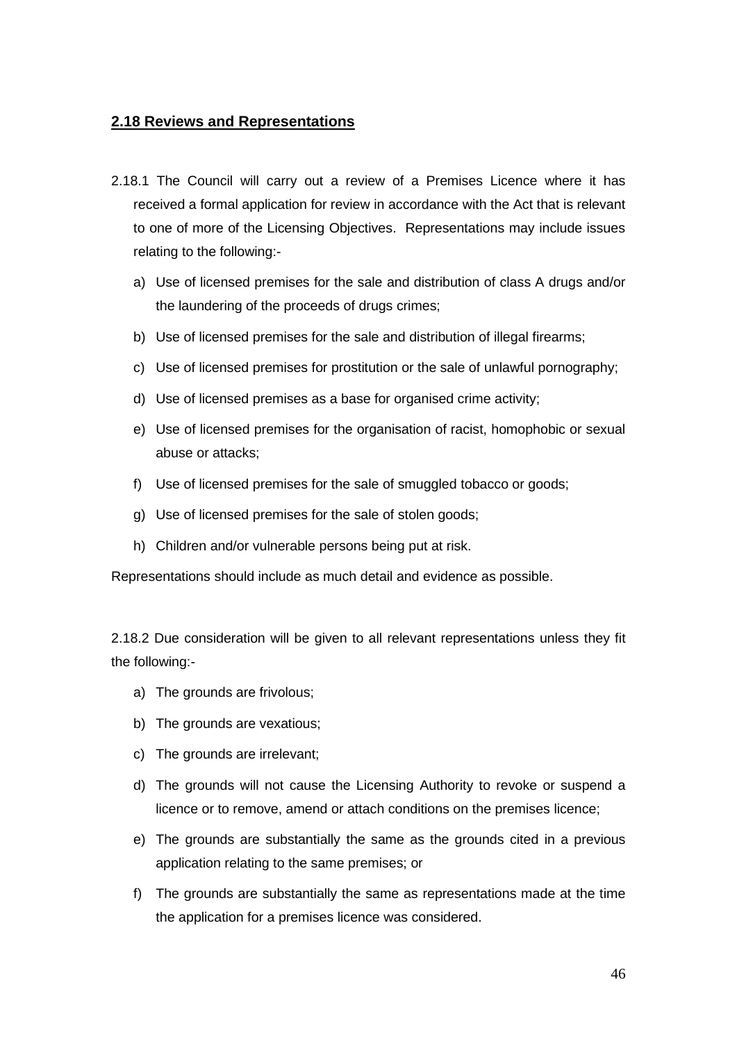#### **2.18 Reviews and Representations**

- 2.18.1 The Council will carry out a review of a Premises Licence where it has received a formal application for review in accordance with the Act that is relevant to one of more of the Licensing Objectives. Representations may include issues relating to the following:
	- a) Use of licensed premises for the sale and distribution of class A drugs and/or the laundering of the proceeds of drugs crimes;
	- b) Use of licensed premises for the sale and distribution of illegal firearms;
	- c) Use of licensed premises for prostitution or the sale of unlawful pornography;
	- d) Use of licensed premises as a base for organised crime activity;
	- e) Use of licensed premises for the organisation of racist, homophobic or sexual abuse or attacks;
	- f) Use of licensed premises for the sale of smuggled tobacco or goods;
	- g) Use of licensed premises for the sale of stolen goods;
	- h) Children and/or vulnerable persons being put at risk.

Representations should include as much detail and evidence as possible.

2.18.2 Due consideration will be given to all relevant representations unless they fit the following:-

- a) The grounds are frivolous;
- b) The grounds are vexatious;
- c) The grounds are irrelevant;
- d) The grounds will not cause the Licensing Authority to revoke or suspend a licence or to remove, amend or attach conditions on the premises licence;
- e) The grounds are substantially the same as the grounds cited in a previous application relating to the same premises; or
- f) The grounds are substantially the same as representations made at the time the application for a premises licence was considered.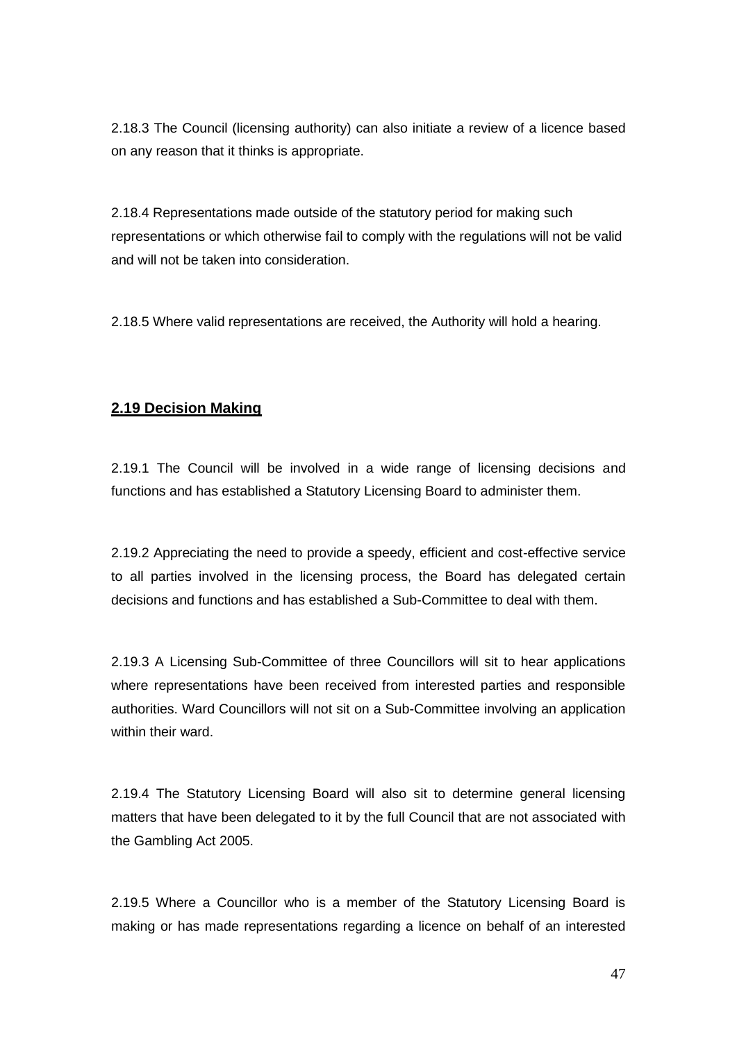2.18.3 The Council (licensing authority) can also initiate a review of a licence based on any reason that it thinks is appropriate.

2.18.4 Representations made outside of the statutory period for making such representations or which otherwise fail to comply with the regulations will not be valid and will not be taken into consideration.

2.18.5 Where valid representations are received, the Authority will hold a hearing.

### **2.19 Decision Making**

2.19.1 The Council will be involved in a wide range of licensing decisions and functions and has established a Statutory Licensing Board to administer them.

2.19.2 Appreciating the need to provide a speedy, efficient and cost-effective service to all parties involved in the licensing process, the Board has delegated certain decisions and functions and has established a Sub-Committee to deal with them.

2.19.3 A Licensing Sub-Committee of three Councillors will sit to hear applications where representations have been received from interested parties and responsible authorities. Ward Councillors will not sit on a Sub-Committee involving an application within their ward.

2.19.4 The Statutory Licensing Board will also sit to determine general licensing matters that have been delegated to it by the full Council that are not associated with the Gambling Act 2005.

2.19.5 Where a Councillor who is a member of the Statutory Licensing Board is making or has made representations regarding a licence on behalf of an interested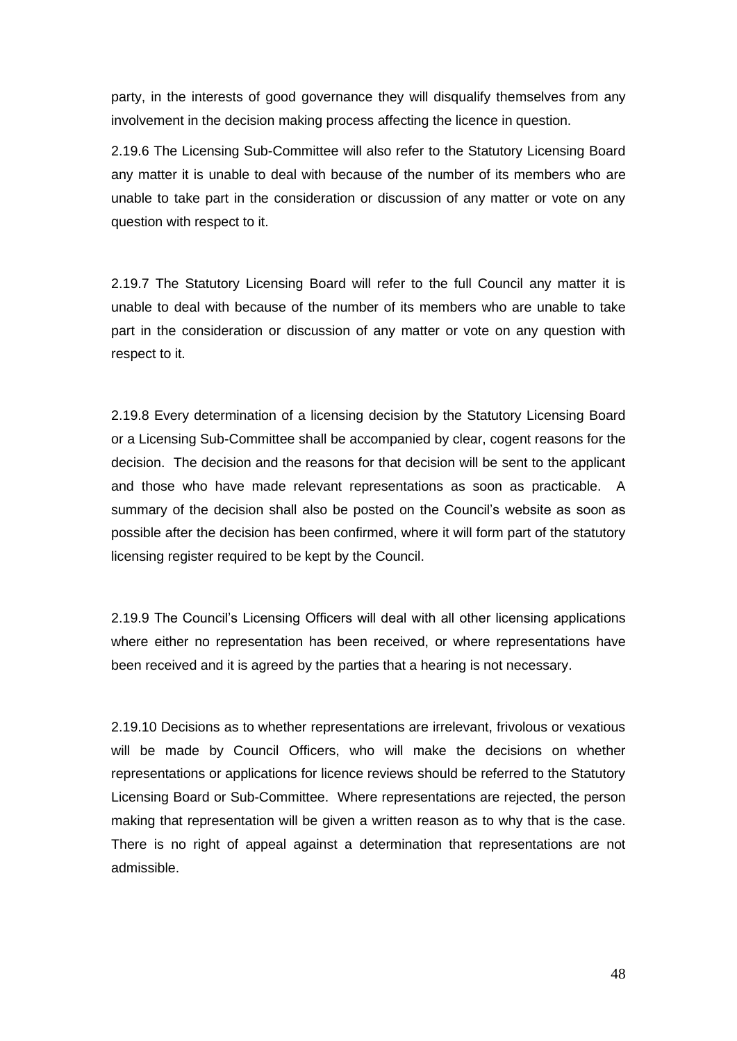party, in the interests of good governance they will disqualify themselves from any involvement in the decision making process affecting the licence in question.

2.19.6 The Licensing Sub-Committee will also refer to the Statutory Licensing Board any matter it is unable to deal with because of the number of its members who are unable to take part in the consideration or discussion of any matter or vote on any question with respect to it.

2.19.7 The Statutory Licensing Board will refer to the full Council any matter it is unable to deal with because of the number of its members who are unable to take part in the consideration or discussion of any matter or vote on any question with respect to it.

2.19.8 Every determination of a licensing decision by the Statutory Licensing Board or a Licensing Sub-Committee shall be accompanied by clear, cogent reasons for the decision. The decision and the reasons for that decision will be sent to the applicant and those who have made relevant representations as soon as practicable. A summary of the decision shall also be posted on the Council's website as soon as possible after the decision has been confirmed, where it will form part of the statutory licensing register required to be kept by the Council.

2.19.9 The Council's Licensing Officers will deal with all other licensing applications where either no representation has been received, or where representations have been received and it is agreed by the parties that a hearing is not necessary.

2.19.10 Decisions as to whether representations are irrelevant, frivolous or vexatious will be made by Council Officers, who will make the decisions on whether representations or applications for licence reviews should be referred to the Statutory Licensing Board or Sub-Committee. Where representations are rejected, the person making that representation will be given a written reason as to why that is the case. There is no right of appeal against a determination that representations are not admissible.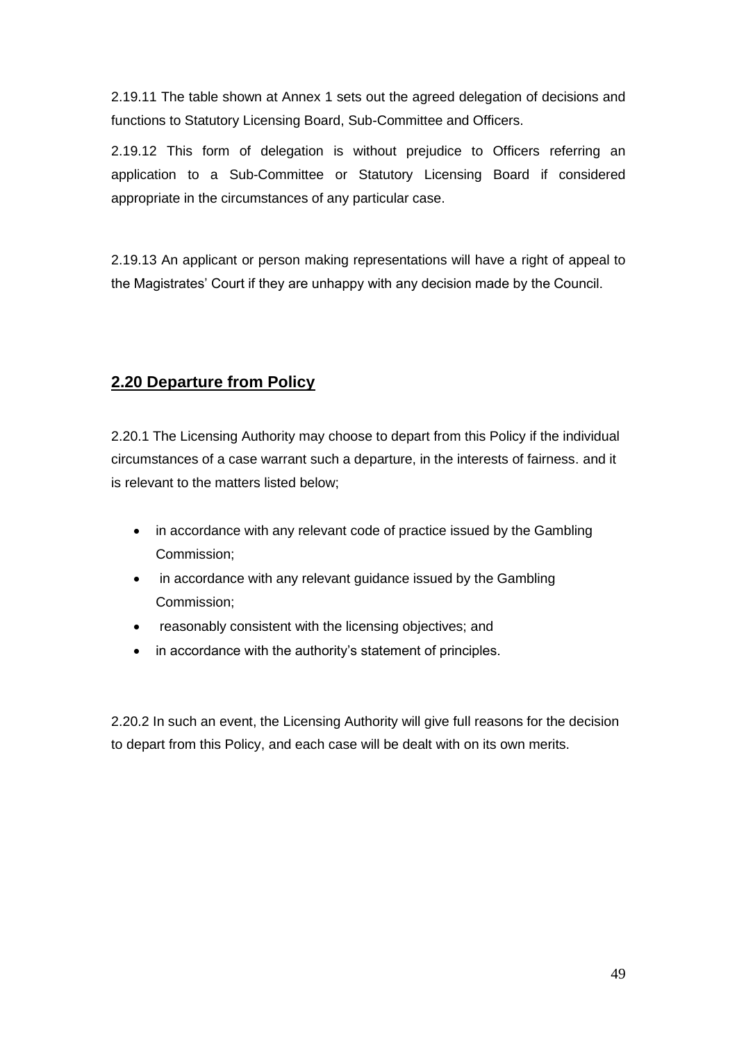2.19.11 The table shown at Annex 1 sets out the agreed delegation of decisions and functions to Statutory Licensing Board, Sub-Committee and Officers.

2.19.12 This form of delegation is without prejudice to Officers referring an application to a Sub-Committee or Statutory Licensing Board if considered appropriate in the circumstances of any particular case.

2.19.13 An applicant or person making representations will have a right of appeal to the Magistrates' Court if they are unhappy with any decision made by the Council.

# **2.20 Departure from Policy**

2.20.1 The Licensing Authority may choose to depart from this Policy if the individual circumstances of a case warrant such a departure, in the interests of fairness. and it is relevant to the matters listed below;

- in accordance with any relevant code of practice issued by the Gambling Commission;
- in accordance with any relevant guidance issued by the Gambling Commission;
- reasonably consistent with the licensing objectives; and
- in accordance with the authority's statement of principles.

2.20.2 In such an event, the Licensing Authority will give full reasons for the decision to depart from this Policy, and each case will be dealt with on its own merits.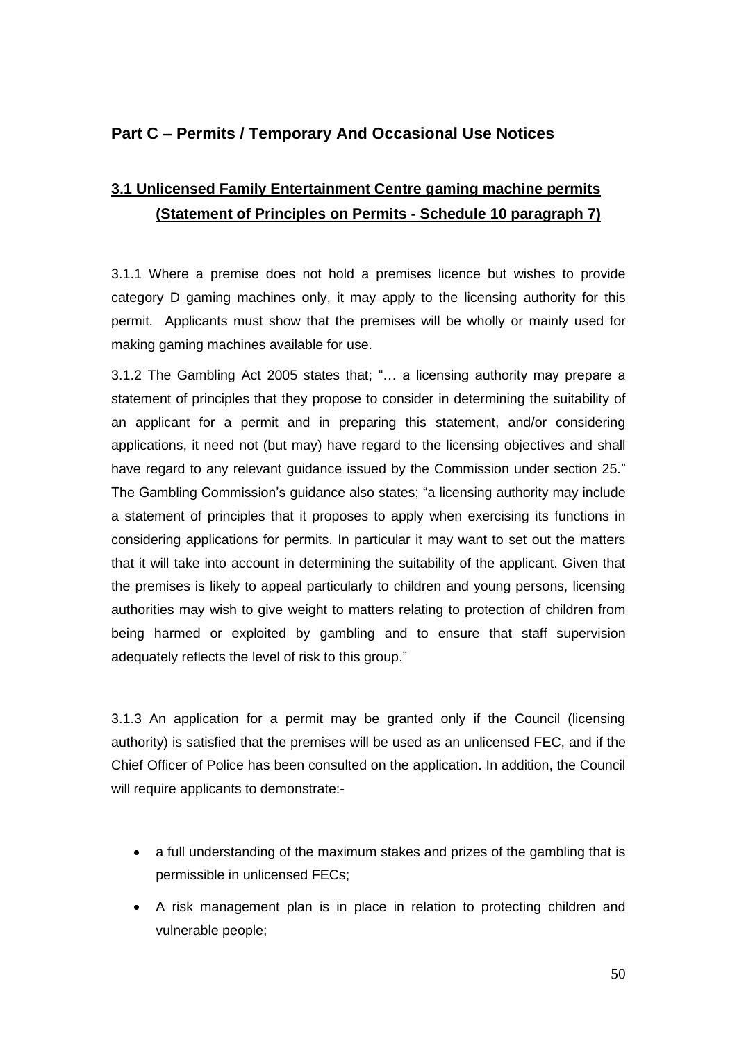# **Part C – Permits / Temporary And Occasional Use Notices**

# **3.1 Unlicensed Family Entertainment Centre gaming machine permits (Statement of Principles on Permits - Schedule 10 paragraph 7)**

3.1.1 Where a premise does not hold a premises licence but wishes to provide category D gaming machines only, it may apply to the licensing authority for this permit. Applicants must show that the premises will be wholly or mainly used for making gaming machines available for use.

3.1.2 The Gambling Act 2005 states that; "… a licensing authority may prepare a statement of principles that they propose to consider in determining the suitability of an applicant for a permit and in preparing this statement, and/or considering applications, it need not (but may) have regard to the licensing objectives and shall have regard to any relevant guidance issued by the Commission under section 25." The Gambling Commission's guidance also states; "a licensing authority may include a statement of principles that it proposes to apply when exercising its functions in considering applications for permits. In particular it may want to set out the matters that it will take into account in determining the suitability of the applicant. Given that the premises is likely to appeal particularly to children and young persons, licensing authorities may wish to give weight to matters relating to protection of children from being harmed or exploited by gambling and to ensure that staff supervision adequately reflects the level of risk to this group."

3.1.3 An application for a permit may be granted only if the Council (licensing authority) is satisfied that the premises will be used as an unlicensed FEC, and if the Chief Officer of Police has been consulted on the application. In addition, the Council will require applicants to demonstrate:-

- a full understanding of the maximum stakes and prizes of the gambling that is permissible in unlicensed FECs;
- A risk management plan is in place in relation to protecting children and vulnerable people;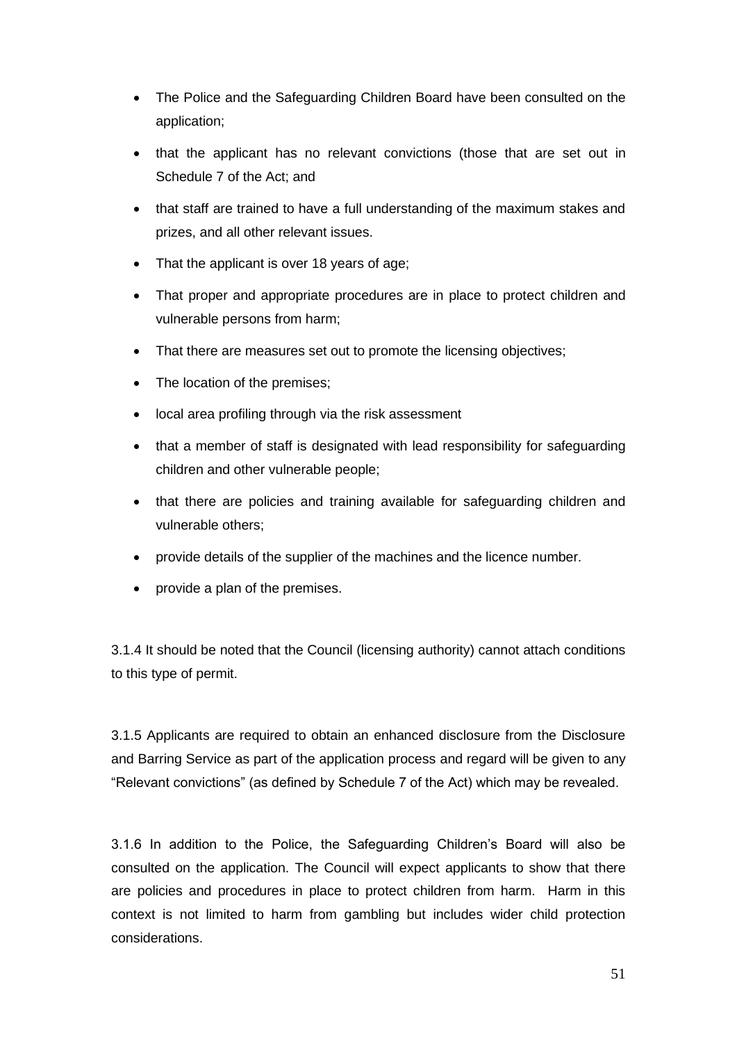- The Police and the Safeguarding Children Board have been consulted on the application;
- that the applicant has no relevant convictions (those that are set out in Schedule 7 of the Act; and
- that staff are trained to have a full understanding of the maximum stakes and prizes, and all other relevant issues.
- That the applicant is over 18 years of age;
- That proper and appropriate procedures are in place to protect children and vulnerable persons from harm;
- That there are measures set out to promote the licensing objectives;
- The location of the premises;
- local area profiling through via the risk assessment
- that a member of staff is designated with lead responsibility for safeguarding children and other vulnerable people;
- that there are policies and training available for safeguarding children and vulnerable others;
- provide details of the supplier of the machines and the licence number.
- provide a plan of the premises.

3.1.4 It should be noted that the Council (licensing authority) cannot attach conditions to this type of permit.

3.1.5 Applicants are required to obtain an enhanced disclosure from the Disclosure and Barring Service as part of the application process and regard will be given to any "Relevant convictions" (as defined by Schedule 7 of the Act) which may be revealed.

3.1.6 In addition to the Police, the Safeguarding Children's Board will also be consulted on the application. The Council will expect applicants to show that there are policies and procedures in place to protect children from harm. Harm in this context is not limited to harm from gambling but includes wider child protection considerations.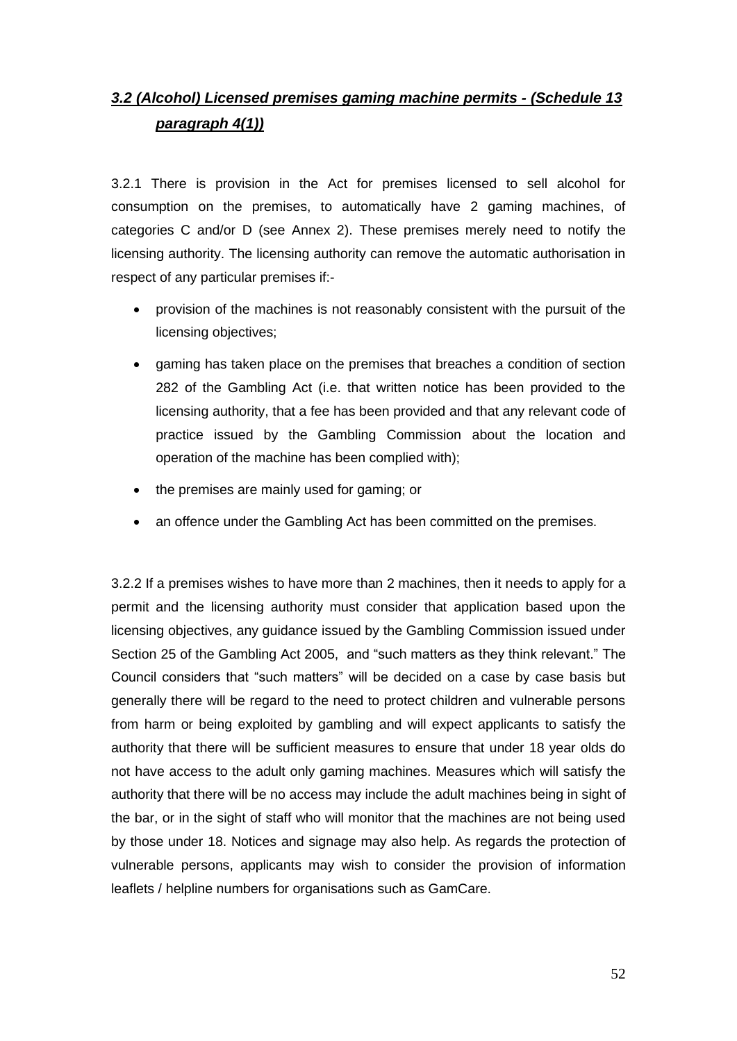# *3.2 (Alcohol) Licensed premises gaming machine permits - (Schedule 13 paragraph 4(1))*

3.2.1 There is provision in the Act for premises licensed to sell alcohol for consumption on the premises, to automatically have 2 gaming machines, of categories C and/or D (see Annex 2). These premises merely need to notify the licensing authority. The licensing authority can remove the automatic authorisation in respect of any particular premises if:-

- provision of the machines is not reasonably consistent with the pursuit of the licensing objectives;
- gaming has taken place on the premises that breaches a condition of section 282 of the Gambling Act (i.e. that written notice has been provided to the licensing authority, that a fee has been provided and that any relevant code of practice issued by the Gambling Commission about the location and operation of the machine has been complied with);
- the premises are mainly used for gaming; or
- an offence under the Gambling Act has been committed on the premises.

3.2.2 If a premises wishes to have more than 2 machines, then it needs to apply for a permit and the licensing authority must consider that application based upon the licensing objectives, any guidance issued by the Gambling Commission issued under Section 25 of the Gambling Act 2005, and "such matters as they think relevant." The Council considers that "such matters" will be decided on a case by case basis but generally there will be regard to the need to protect children and vulnerable persons from harm or being exploited by gambling and will expect applicants to satisfy the authority that there will be sufficient measures to ensure that under 18 year olds do not have access to the adult only gaming machines. Measures which will satisfy the authority that there will be no access may include the adult machines being in sight of the bar, or in the sight of staff who will monitor that the machines are not being used by those under 18. Notices and signage may also help. As regards the protection of vulnerable persons, applicants may wish to consider the provision of information leaflets / helpline numbers for organisations such as GamCare.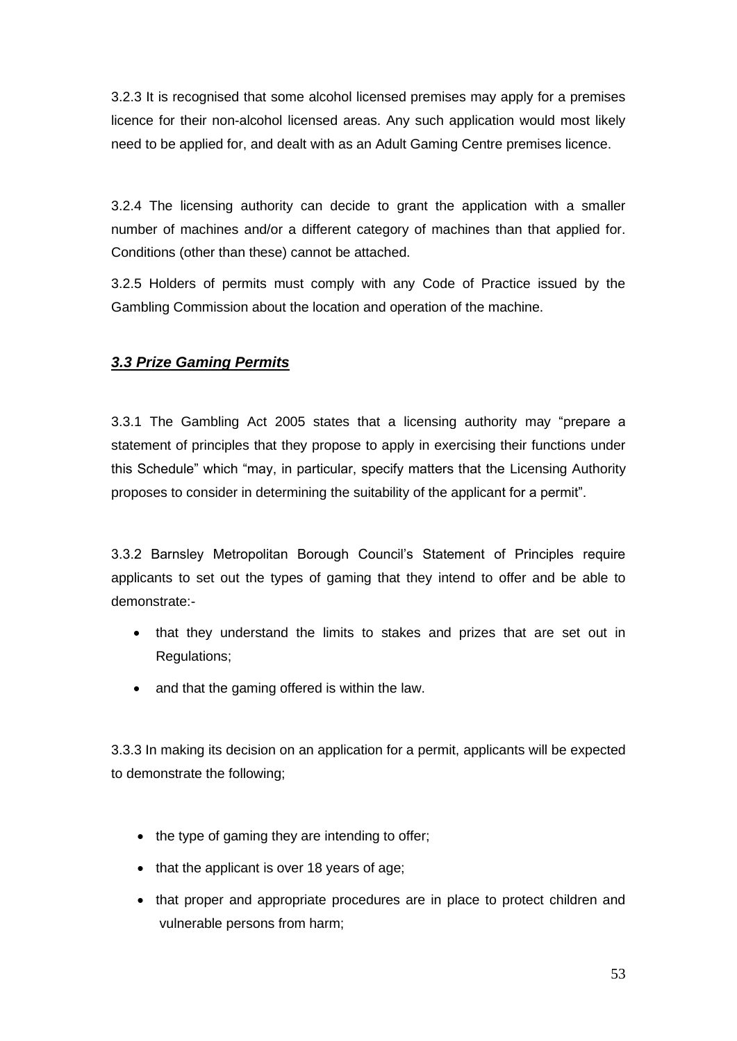3.2.3 It is recognised that some alcohol licensed premises may apply for a premises licence for their non-alcohol licensed areas. Any such application would most likely need to be applied for, and dealt with as an Adult Gaming Centre premises licence.

3.2.4 The licensing authority can decide to grant the application with a smaller number of machines and/or a different category of machines than that applied for. Conditions (other than these) cannot be attached.

3.2.5 Holders of permits must comply with any Code of Practice issued by the Gambling Commission about the location and operation of the machine.

# *3.3 Prize Gaming Permits*

3.3.1 The Gambling Act 2005 states that a licensing authority may "prepare a statement of principles that they propose to apply in exercising their functions under this Schedule" which "may, in particular, specify matters that the Licensing Authority proposes to consider in determining the suitability of the applicant for a permit".

3.3.2 Barnsley Metropolitan Borough Council's Statement of Principles require applicants to set out the types of gaming that they intend to offer and be able to demonstrate:-

- that they understand the limits to stakes and prizes that are set out in Regulations;
- and that the gaming offered is within the law.

3.3.3 In making its decision on an application for a permit, applicants will be expected to demonstrate the following;

- the type of gaming they are intending to offer;
- that the applicant is over 18 years of age;
- that proper and appropriate procedures are in place to protect children and vulnerable persons from harm;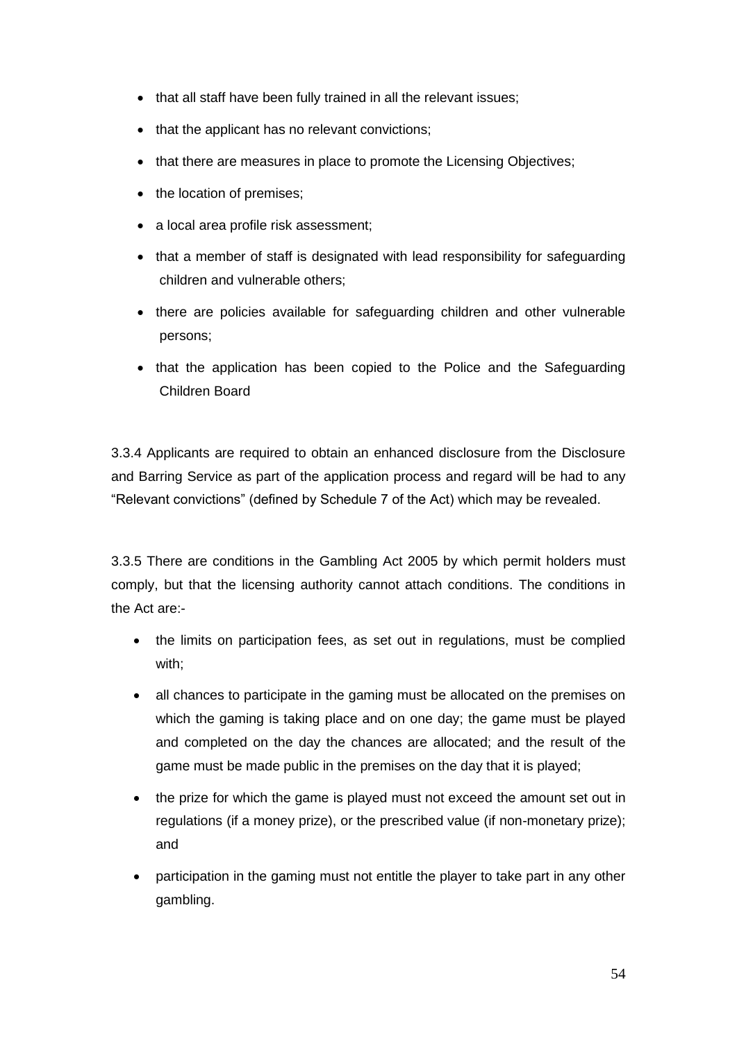- that all staff have been fully trained in all the relevant issues;
- that the applicant has no relevant convictions;
- that there are measures in place to promote the Licensing Objectives;
- the location of premises;
- a local area profile risk assessment;
- that a member of staff is designated with lead responsibility for safeguarding children and vulnerable others;
- there are policies available for safeguarding children and other vulnerable persons;
- that the application has been copied to the Police and the Safeguarding Children Board

3.3.4 Applicants are required to obtain an enhanced disclosure from the Disclosure and Barring Service as part of the application process and regard will be had to any "Relevant convictions" (defined by Schedule 7 of the Act) which may be revealed.

3.3.5 There are conditions in the Gambling Act 2005 by which permit holders must comply, but that the licensing authority cannot attach conditions. The conditions in the Act are:-

- the limits on participation fees, as set out in regulations, must be complied with;
- all chances to participate in the gaming must be allocated on the premises on which the gaming is taking place and on one day; the game must be played and completed on the day the chances are allocated; and the result of the game must be made public in the premises on the day that it is played;
- the prize for which the game is played must not exceed the amount set out in regulations (if a money prize), or the prescribed value (if non-monetary prize); and
- participation in the gaming must not entitle the player to take part in any other gambling.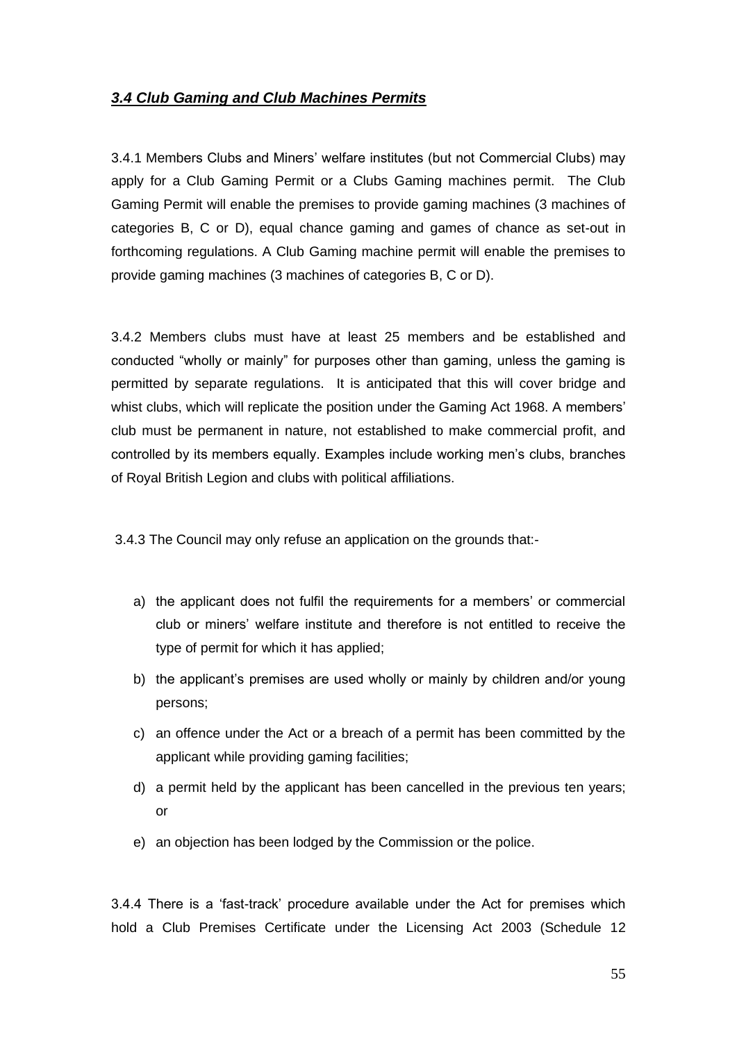#### *3.4 Club Gaming and Club Machines Permits*

3.4.1 Members Clubs and Miners' welfare institutes (but not Commercial Clubs) may apply for a Club Gaming Permit or a Clubs Gaming machines permit. The Club Gaming Permit will enable the premises to provide gaming machines (3 machines of categories B, C or D), equal chance gaming and games of chance as set-out in forthcoming regulations. A Club Gaming machine permit will enable the premises to provide gaming machines (3 machines of categories B, C or D).

3.4.2 Members clubs must have at least 25 members and be established and conducted "wholly or mainly" for purposes other than gaming, unless the gaming is permitted by separate regulations. It is anticipated that this will cover bridge and whist clubs, which will replicate the position under the Gaming Act 1968. A members' club must be permanent in nature, not established to make commercial profit, and controlled by its members equally. Examples include working men's clubs, branches of Royal British Legion and clubs with political affiliations.

3.4.3 The Council may only refuse an application on the grounds that:-

- a) the applicant does not fulfil the requirements for a members' or commercial club or miners' welfare institute and therefore is not entitled to receive the type of permit for which it has applied;
- b) the applicant's premises are used wholly or mainly by children and/or young persons;
- c) an offence under the Act or a breach of a permit has been committed by the applicant while providing gaming facilities;
- d) a permit held by the applicant has been cancelled in the previous ten years; or
- e) an objection has been lodged by the Commission or the police.

3.4.4 There is a 'fast-track' procedure available under the Act for premises which hold a Club Premises Certificate under the Licensing Act 2003 (Schedule 12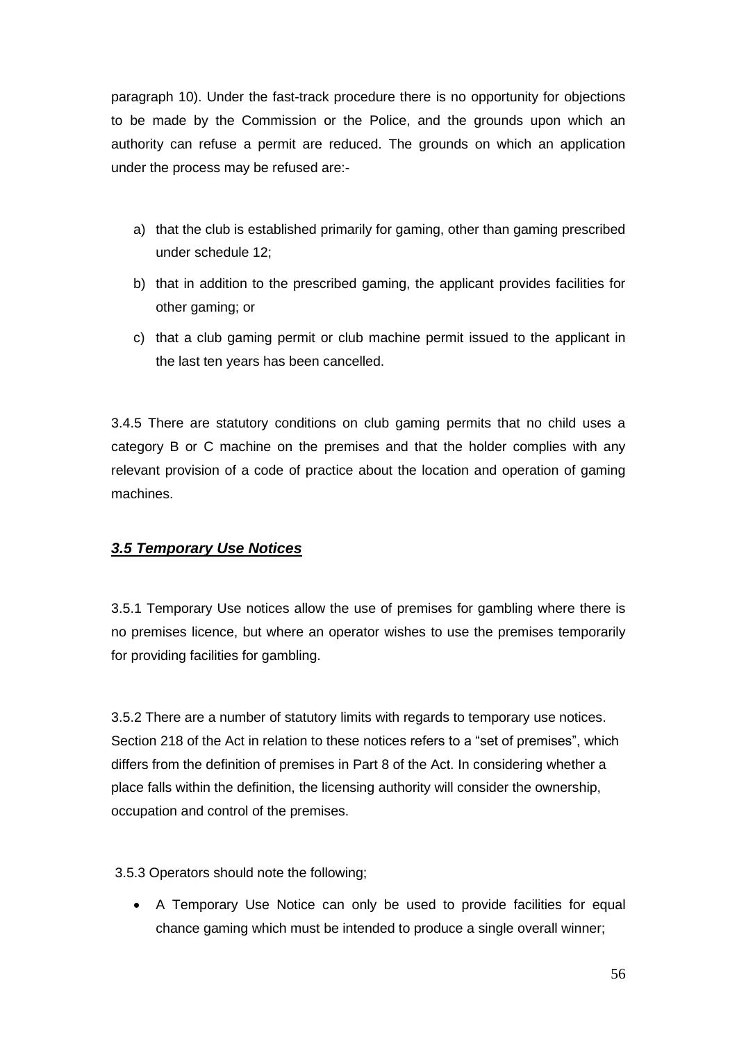paragraph 10). Under the fast-track procedure there is no opportunity for objections to be made by the Commission or the Police, and the grounds upon which an authority can refuse a permit are reduced. The grounds on which an application under the process may be refused are:-

- a) that the club is established primarily for gaming, other than gaming prescribed under schedule 12;
- b) that in addition to the prescribed gaming, the applicant provides facilities for other gaming; or
- c) that a club gaming permit or club machine permit issued to the applicant in the last ten years has been cancelled.

3.4.5 There are statutory conditions on club gaming permits that no child uses a category B or C machine on the premises and that the holder complies with any relevant provision of a code of practice about the location and operation of gaming machines.

# *3.5 Temporary Use Notices*

3.5.1 Temporary Use notices allow the use of premises for gambling where there is no premises licence, but where an operator wishes to use the premises temporarily for providing facilities for gambling.

3.5.2 There are a number of statutory limits with regards to temporary use notices. Section 218 of the Act in relation to these notices refers to a "set of premises", which differs from the definition of premises in Part 8 of the Act. In considering whether a place falls within the definition, the licensing authority will consider the ownership, occupation and control of the premises.

3.5.3 Operators should note the following;

• A Temporary Use Notice can only be used to provide facilities for equal chance gaming which must be intended to produce a single overall winner;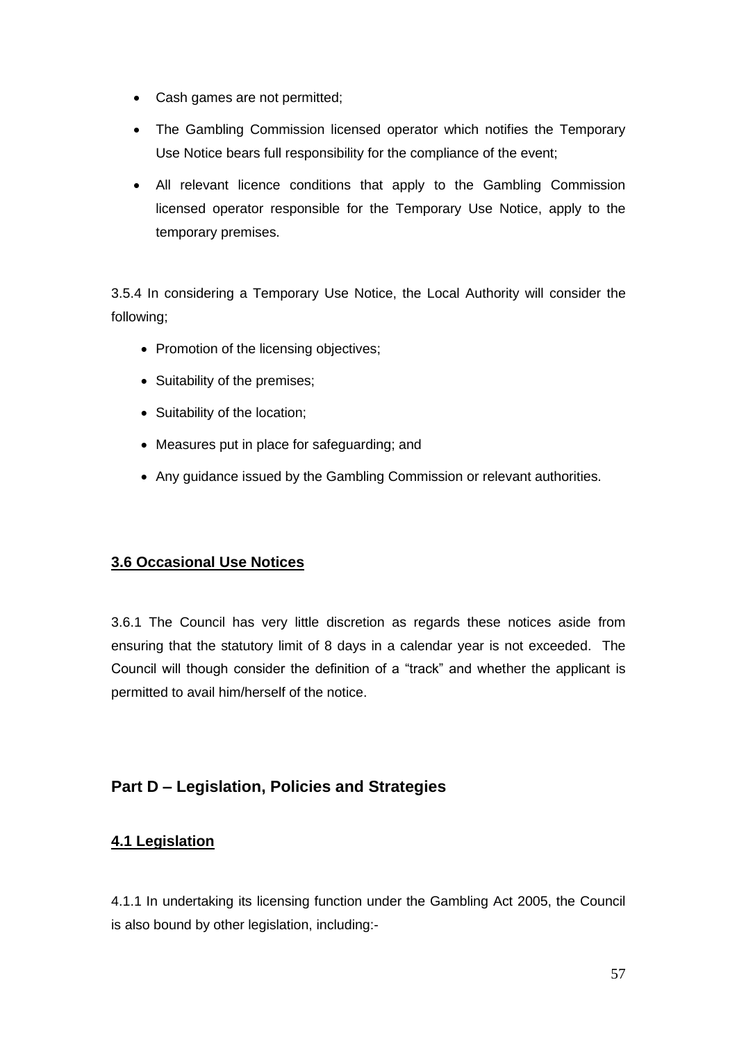- Cash games are not permitted;
- The Gambling Commission licensed operator which notifies the Temporary Use Notice bears full responsibility for the compliance of the event;
- All relevant licence conditions that apply to the Gambling Commission licensed operator responsible for the Temporary Use Notice, apply to the temporary premises.

3.5.4 In considering a Temporary Use Notice, the Local Authority will consider the following;

- Promotion of the licensing objectives;
- Suitability of the premises;
- Suitability of the location;
- Measures put in place for safeguarding; and
- Any guidance issued by the Gambling Commission or relevant authorities.

# **3.6 Occasional Use Notices**

3.6.1 The Council has very little discretion as regards these notices aside from ensuring that the statutory limit of 8 days in a calendar year is not exceeded. The Council will though consider the definition of a "track" and whether the applicant is permitted to avail him/herself of the notice.

# **Part D – Legislation, Policies and Strategies**

# **4.1 Legislation**

4.1.1 In undertaking its licensing function under the Gambling Act 2005, the Council is also bound by other legislation, including:-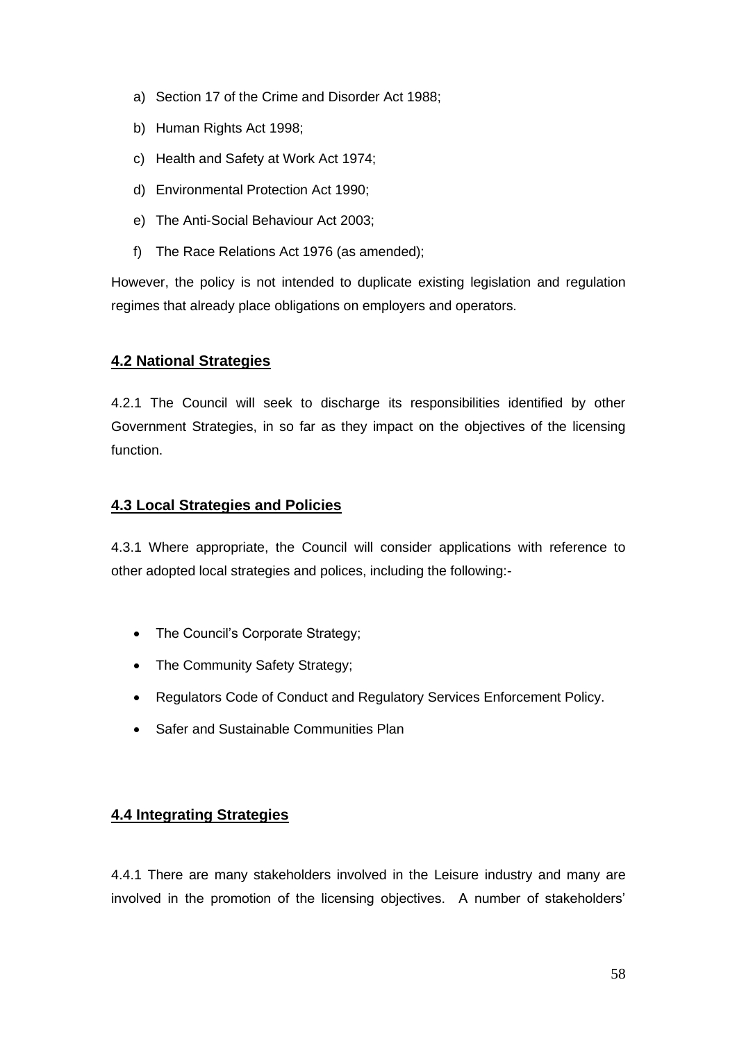- a) Section 17 of the Crime and Disorder Act 1988;
- b) Human Rights Act 1998;
- c) Health and Safety at Work Act 1974;
- d) Environmental Protection Act 1990;
- e) The Anti-Social Behaviour Act 2003;
- f) The Race Relations Act 1976 (as amended);

However, the policy is not intended to duplicate existing legislation and regulation regimes that already place obligations on employers and operators.

### **4.2 National Strategies**

4.2.1 The Council will seek to discharge its responsibilities identified by other Government Strategies, in so far as they impact on the objectives of the licensing function.

#### **4.3 Local Strategies and Policies**

4.3.1 Where appropriate, the Council will consider applications with reference to other adopted local strategies and polices, including the following:-

- The Council's Corporate Strategy;
- The Community Safety Strategy;
- Regulators Code of Conduct and Regulatory Services Enforcement Policy.
- Safer and Sustainable Communities Plan

#### **4.4 Integrating Strategies**

4.4.1 There are many stakeholders involved in the Leisure industry and many are involved in the promotion of the licensing objectives. A number of stakeholders'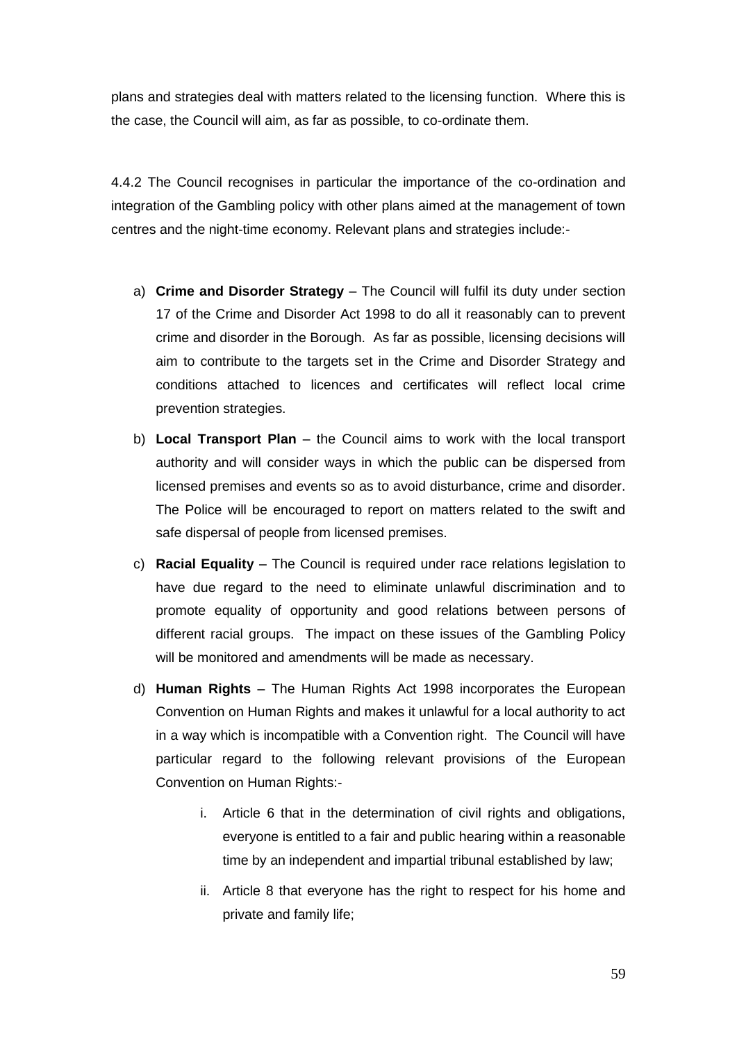plans and strategies deal with matters related to the licensing function. Where this is the case, the Council will aim, as far as possible, to co-ordinate them.

4.4.2 The Council recognises in particular the importance of the co-ordination and integration of the Gambling policy with other plans aimed at the management of town centres and the night-time economy. Relevant plans and strategies include:-

- a) **Crime and Disorder Strategy** The Council will fulfil its duty under section 17 of the Crime and Disorder Act 1998 to do all it reasonably can to prevent crime and disorder in the Borough. As far as possible, licensing decisions will aim to contribute to the targets set in the Crime and Disorder Strategy and conditions attached to licences and certificates will reflect local crime prevention strategies.
- b) **Local Transport Plan** the Council aims to work with the local transport authority and will consider ways in which the public can be dispersed from licensed premises and events so as to avoid disturbance, crime and disorder. The Police will be encouraged to report on matters related to the swift and safe dispersal of people from licensed premises.
- c) **Racial Equality** The Council is required under race relations legislation to have due regard to the need to eliminate unlawful discrimination and to promote equality of opportunity and good relations between persons of different racial groups. The impact on these issues of the Gambling Policy will be monitored and amendments will be made as necessary.
- d) **Human Rights** The Human Rights Act 1998 incorporates the European Convention on Human Rights and makes it unlawful for a local authority to act in a way which is incompatible with a Convention right. The Council will have particular regard to the following relevant provisions of the European Convention on Human Rights:
	- i. Article 6 that in the determination of civil rights and obligations, everyone is entitled to a fair and public hearing within a reasonable time by an independent and impartial tribunal established by law;
	- ii. Article 8 that everyone has the right to respect for his home and private and family life;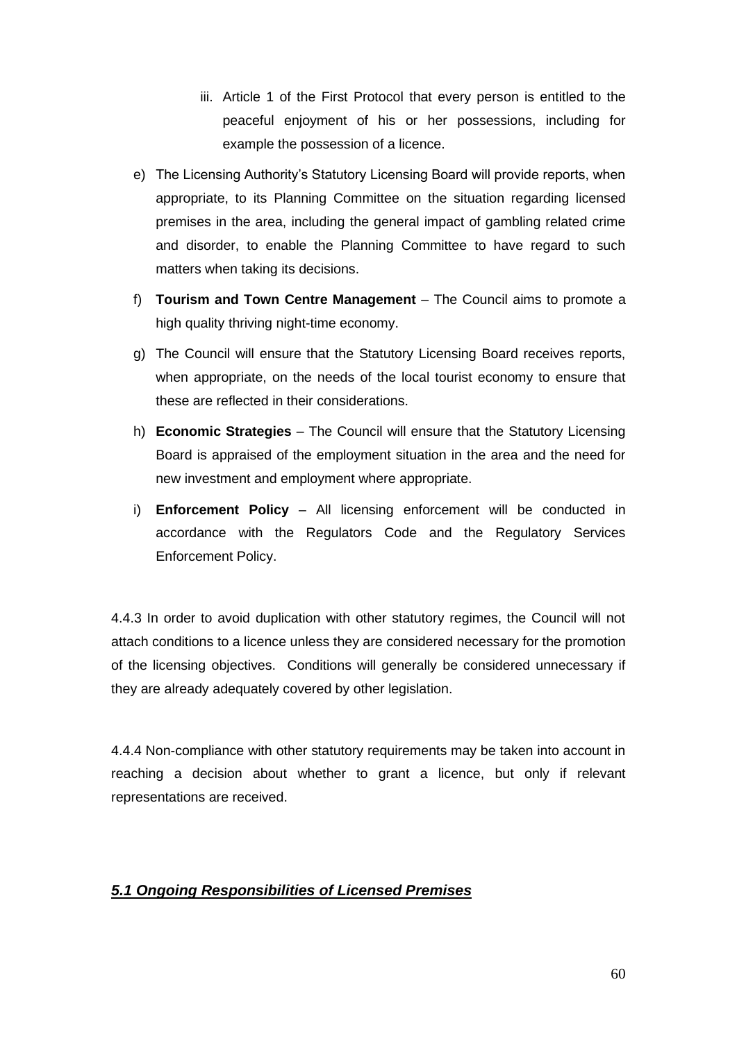- iii. Article 1 of the First Protocol that every person is entitled to the peaceful enjoyment of his or her possessions, including for example the possession of a licence.
- e) The Licensing Authority's Statutory Licensing Board will provide reports, when appropriate, to its Planning Committee on the situation regarding licensed premises in the area, including the general impact of gambling related crime and disorder, to enable the Planning Committee to have regard to such matters when taking its decisions.
- f) **Tourism and Town Centre Management** The Council aims to promote a high quality thriving night-time economy.
- g) The Council will ensure that the Statutory Licensing Board receives reports, when appropriate, on the needs of the local tourist economy to ensure that these are reflected in their considerations.
- h) **Economic Strategies** The Council will ensure that the Statutory Licensing Board is appraised of the employment situation in the area and the need for new investment and employment where appropriate.
- i) **Enforcement Policy** All licensing enforcement will be conducted in accordance with the Regulators Code and the Regulatory Services Enforcement Policy.

4.4.3 In order to avoid duplication with other statutory regimes, the Council will not attach conditions to a licence unless they are considered necessary for the promotion of the licensing objectives. Conditions will generally be considered unnecessary if they are already adequately covered by other legislation.

4.4.4 Non-compliance with other statutory requirements may be taken into account in reaching a decision about whether to grant a licence, but only if relevant representations are received.

# *5.1 Ongoing Responsibilities of Licensed Premises*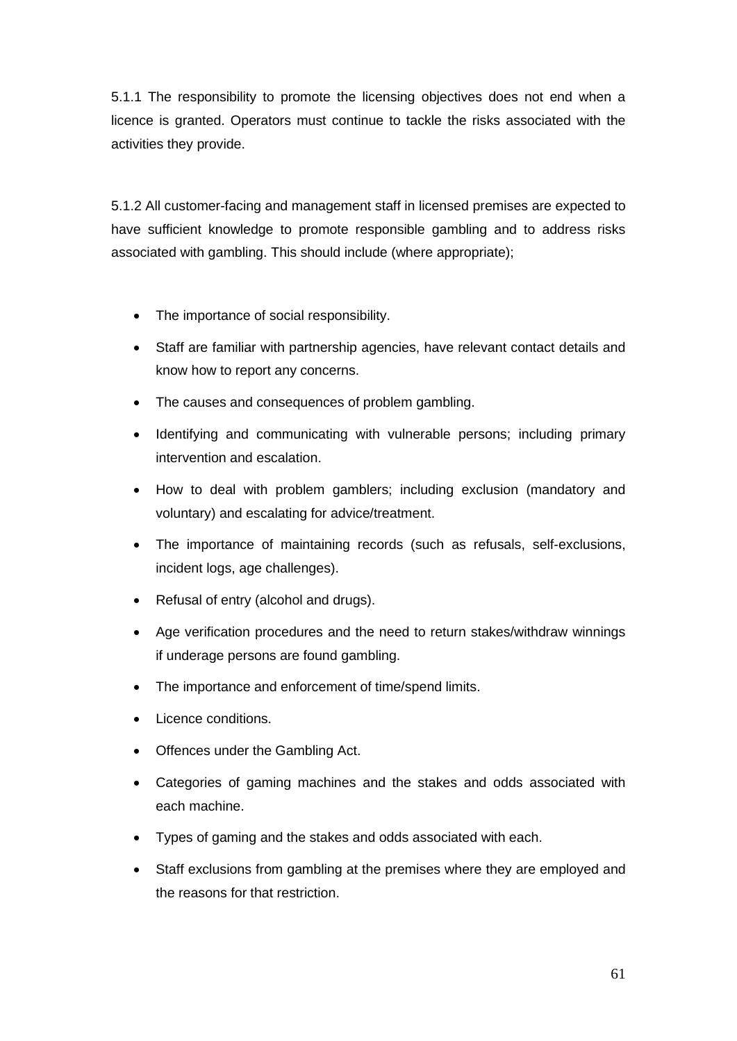5.1.1 The responsibility to promote the licensing objectives does not end when a licence is granted. Operators must continue to tackle the risks associated with the activities they provide.

5.1.2 All customer-facing and management staff in licensed premises are expected to have sufficient knowledge to promote responsible gambling and to address risks associated with gambling. This should include (where appropriate);

- The importance of social responsibility.
- Staff are familiar with partnership agencies, have relevant contact details and know how to report any concerns.
- The causes and consequences of problem gambling.
- Identifying and communicating with vulnerable persons; including primary intervention and escalation.
- How to deal with problem gamblers; including exclusion (mandatory and voluntary) and escalating for advice/treatment.
- The importance of maintaining records (such as refusals, self-exclusions, incident logs, age challenges).
- Refusal of entry (alcohol and drugs).
- Age verification procedures and the need to return stakes/withdraw winnings if underage persons are found gambling.
- The importance and enforcement of time/spend limits.
- Licence conditions.
- Offences under the Gambling Act.
- Categories of gaming machines and the stakes and odds associated with each machine.
- Types of gaming and the stakes and odds associated with each.
- Staff exclusions from gambling at the premises where they are employed and the reasons for that restriction.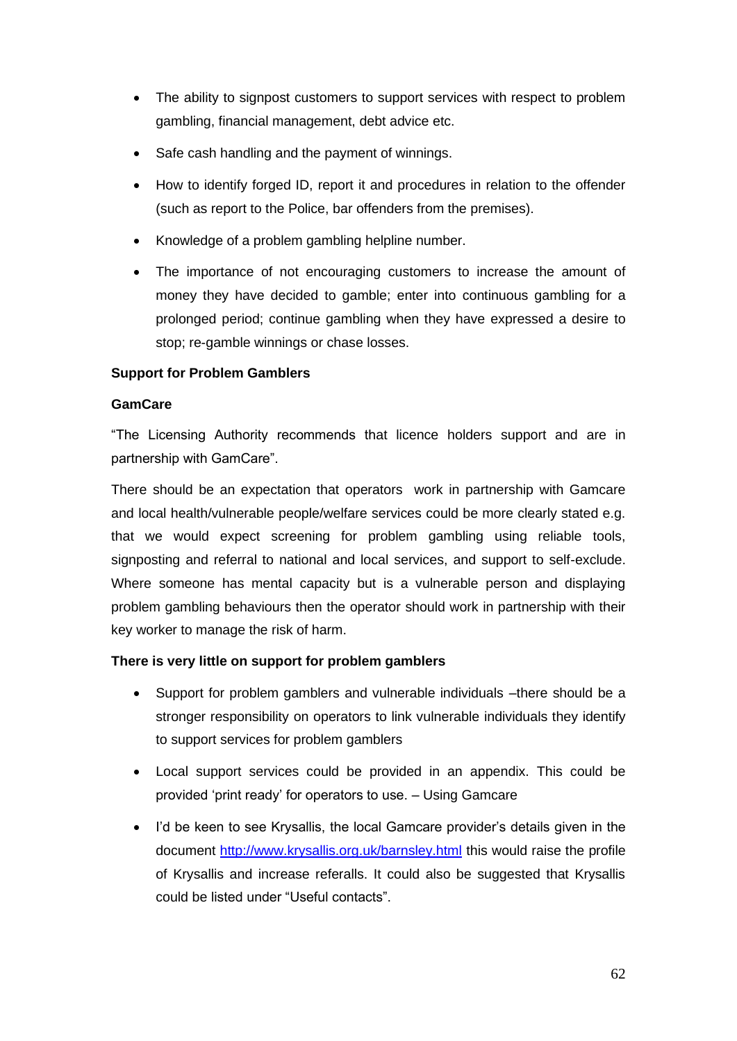- The ability to signpost customers to support services with respect to problem gambling, financial management, debt advice etc.
- Safe cash handling and the payment of winnings.
- How to identify forged ID, report it and procedures in relation to the offender (such as report to the Police, bar offenders from the premises).
- Knowledge of a problem gambling helpline number.
- The importance of not encouraging customers to increase the amount of money they have decided to gamble; enter into continuous gambling for a prolonged period; continue gambling when they have expressed a desire to stop; re-gamble winnings or chase losses.

#### **Support for Problem Gamblers**

#### **GamCare**

"The Licensing Authority recommends that licence holders support and are in partnership with GamCare".

There should be an expectation that operators work in partnership with Gamcare and local health/vulnerable people/welfare services could be more clearly stated e.g. that we would expect screening for problem gambling using reliable tools, signposting and referral to national and local services, and support to self-exclude. Where someone has mental capacity but is a vulnerable person and displaying problem gambling behaviours then the operator should work in partnership with their key worker to manage the risk of harm.

#### **There is very little on support for problem gamblers**

- Support for problem gamblers and vulnerable individuals –there should be a stronger responsibility on operators to link vulnerable individuals they identify to support services for problem gamblers
- Local support services could be provided in an appendix. This could be provided 'print ready' for operators to use. – Using Gamcare
- I'd be keen to see Krysallis, the local Gamcare provider's details given in the document<http://www.krysallis.org.uk/barnsley.html> this would raise the profile of Krysallis and increase referalls. It could also be suggested that Krysallis could be listed under "Useful contacts".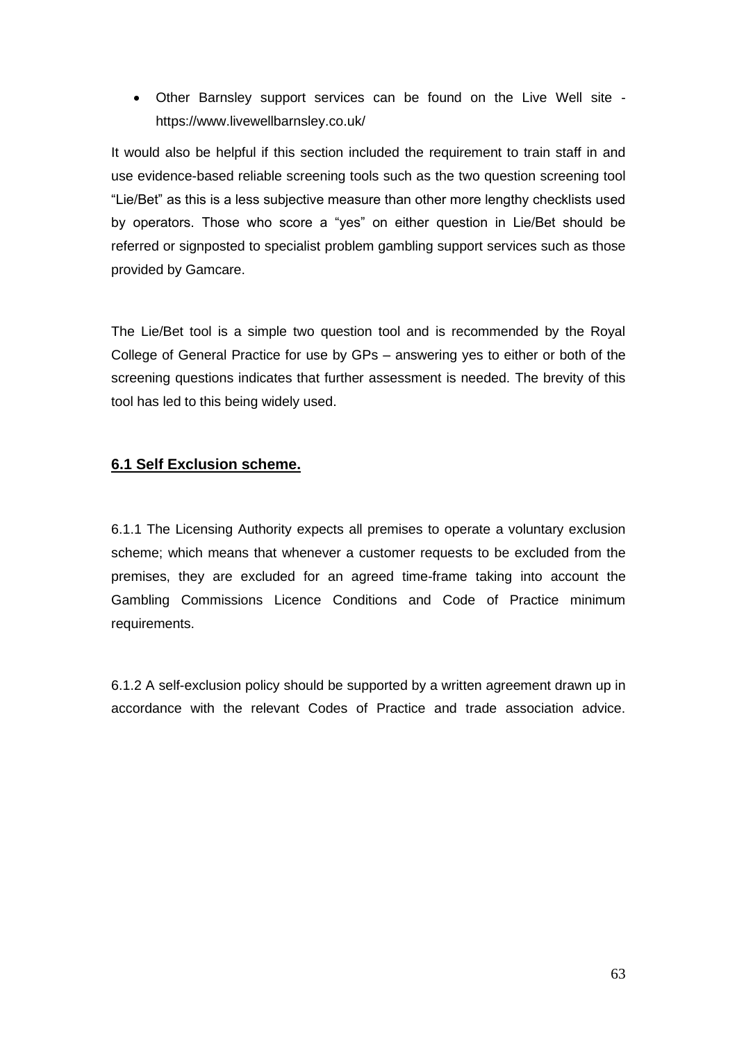• Other Barnsley support services can be found on the Live Well site https://www.livewellbarnsley.co.uk/

It would also be helpful if this section included the requirement to train staff in and use evidence-based reliable screening tools such as the two question screening tool "Lie/Bet" as this is a less subjective measure than other more lengthy checklists used by operators. Those who score a "yes" on either question in Lie/Bet should be referred or signposted to specialist problem gambling support services such as those provided by Gamcare.

The Lie/Bet tool is a simple two question tool and is recommended by the Royal College of General Practice for use by GPs – answering yes to either or both of the screening questions indicates that further assessment is needed. The brevity of this tool has led to this being widely used.

### **6.1 Self Exclusion scheme.**

6.1.1 The Licensing Authority expects all premises to operate a voluntary exclusion scheme; which means that whenever a customer requests to be excluded from the premises, they are excluded for an agreed time-frame taking into account the Gambling Commissions Licence Conditions and Code of Practice minimum requirements.

6.1.2 A self-exclusion policy should be supported by a written agreement drawn up in accordance with the relevant Codes of Practice and trade association advice.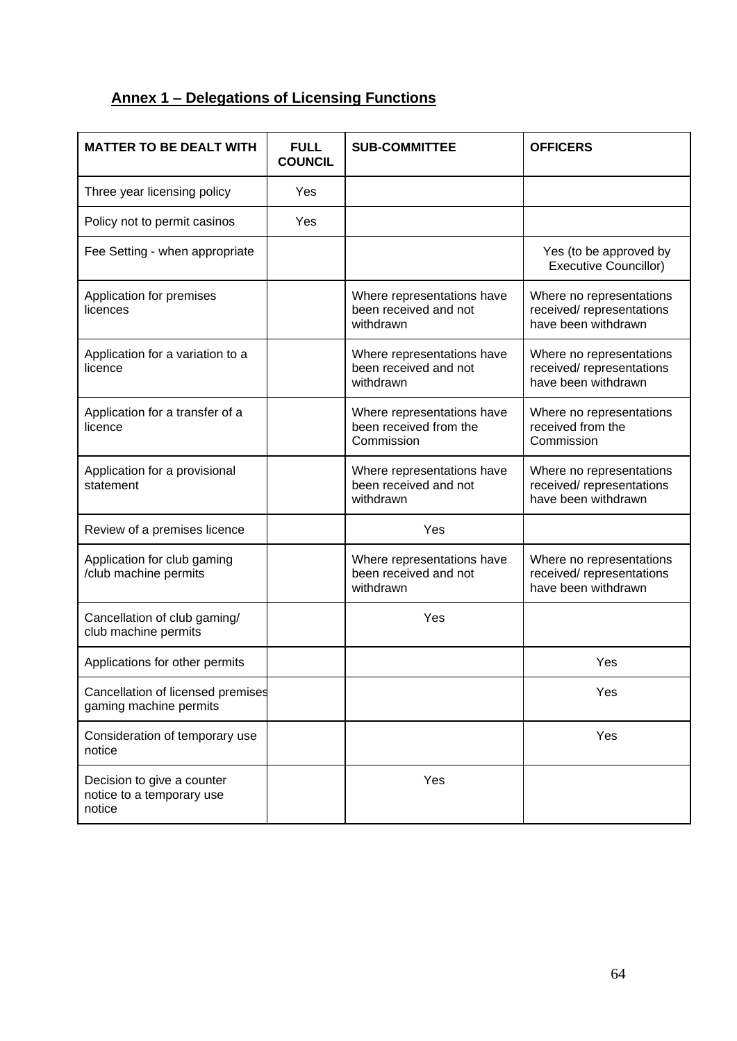# **Annex 1 – Delegations of Licensing Functions**

| <b>MATTER TO BE DEALT WITH</b>                                    | <b>FULL</b><br><b>COUNCIL</b> | <b>SUB-COMMITTEE</b>                                               | <b>OFFICERS</b>                                                              |
|-------------------------------------------------------------------|-------------------------------|--------------------------------------------------------------------|------------------------------------------------------------------------------|
| Three year licensing policy                                       | Yes                           |                                                                    |                                                                              |
| Policy not to permit casinos                                      | Yes                           |                                                                    |                                                                              |
| Fee Setting - when appropriate                                    |                               |                                                                    | Yes (to be approved by<br><b>Executive Councillor)</b>                       |
| Application for premises<br>licences                              |                               | Where representations have<br>been received and not<br>withdrawn   | Where no representations<br>received/representations<br>have been withdrawn  |
| Application for a variation to a<br>licence                       |                               | Where representations have<br>been received and not<br>withdrawn   | Where no representations<br>received/representations<br>have been withdrawn  |
| Application for a transfer of a<br>licence                        |                               | Where representations have<br>been received from the<br>Commission | Where no representations<br>received from the<br>Commission                  |
| Application for a provisional<br>statement                        |                               | Where representations have<br>been received and not<br>withdrawn   | Where no representations<br>received/representations<br>have been withdrawn  |
| Review of a premises licence                                      |                               | Yes                                                                |                                                                              |
| Application for club gaming<br>/club machine permits              |                               | Where representations have<br>been received and not<br>withdrawn   | Where no representations<br>received/ representations<br>have been withdrawn |
| Cancellation of club gaming/<br>club machine permits              |                               | Yes                                                                |                                                                              |
| Applications for other permits                                    |                               |                                                                    | Yes                                                                          |
| Cancellation of licensed premises<br>gaming machine permits       |                               |                                                                    | Yes                                                                          |
| Consideration of temporary use<br>notice                          |                               |                                                                    | Yes                                                                          |
| Decision to give a counter<br>notice to a temporary use<br>notice |                               | Yes                                                                |                                                                              |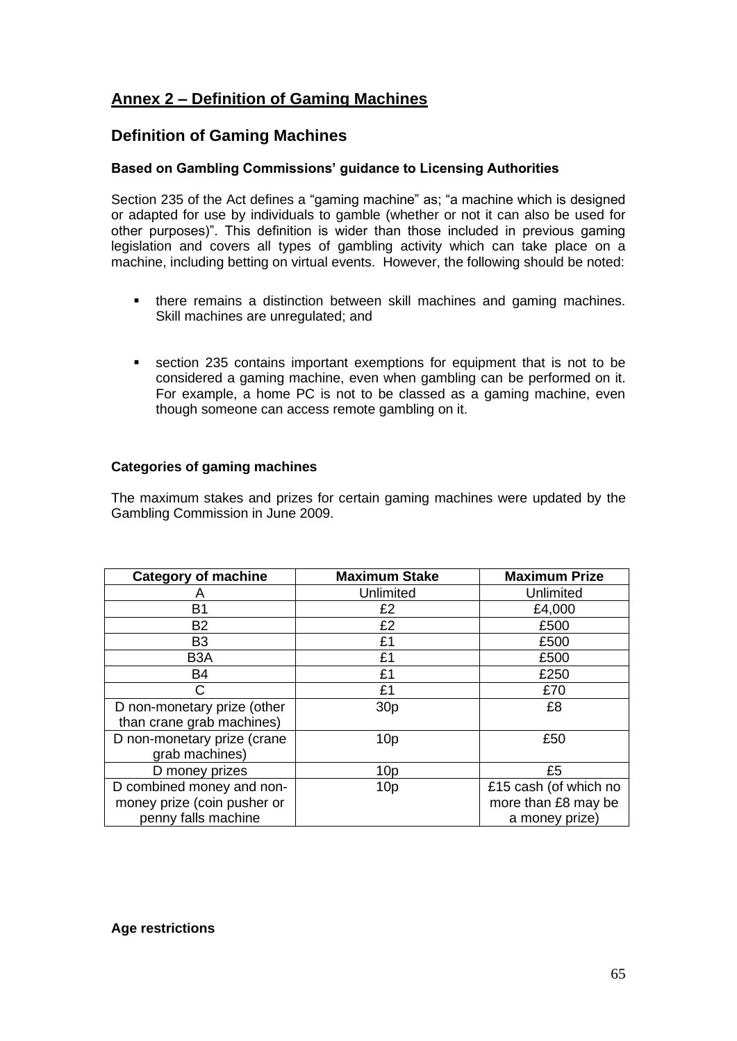# **Annex 2 – Definition of Gaming Machines**

# **Definition of Gaming Machines**

#### **Based on Gambling Commissions' guidance to Licensing Authorities**

Section 235 of the Act defines a "gaming machine" as; "a machine which is designed or adapted for use by individuals to gamble (whether or not it can also be used for other purposes)". This definition is wider than those included in previous gaming legislation and covers all types of gambling activity which can take place on a machine, including betting on virtual events. However, the following should be noted:

- there remains a distinction between skill machines and gaming machines. Skill machines are unregulated; and
- section 235 contains important exemptions for equipment that is not to be considered a gaming machine, even when gambling can be performed on it. For example, a home PC is not to be classed as a gaming machine, even though someone can access remote gambling on it.

#### **Categories of gaming machines**

The maximum stakes and prizes for certain gaming machines were updated by the Gambling Commission in June 2009.

| <b>Category of machine</b>  | <b>Maximum Stake</b> | <b>Maximum Prize</b>  |
|-----------------------------|----------------------|-----------------------|
| А                           | Unlimited            | Unlimited             |
| <b>B1</b>                   | £2                   | £4,000                |
| <b>B2</b>                   | £2                   | £500                  |
| B <sub>3</sub>              | £1                   | £500                  |
| B <sub>3</sub> A            | £1                   | £500                  |
| <b>B4</b>                   | £1                   | £250                  |
|                             | £1                   | £70                   |
| D non-monetary prize (other | 30 <sub>p</sub>      | £8                    |
| than crane grab machines)   |                      |                       |
| D non-monetary prize (crane | 10 <sub>p</sub>      | £50                   |
| grab machines)              |                      |                       |
| D money prizes              | 10 <sub>p</sub>      | £5                    |
| D combined money and non-   | 10 <sub>p</sub>      | £15 cash (of which no |
| money prize (coin pusher or |                      | more than £8 may be   |
| penny falls machine         |                      | a money prize)        |

#### **Age restrictions**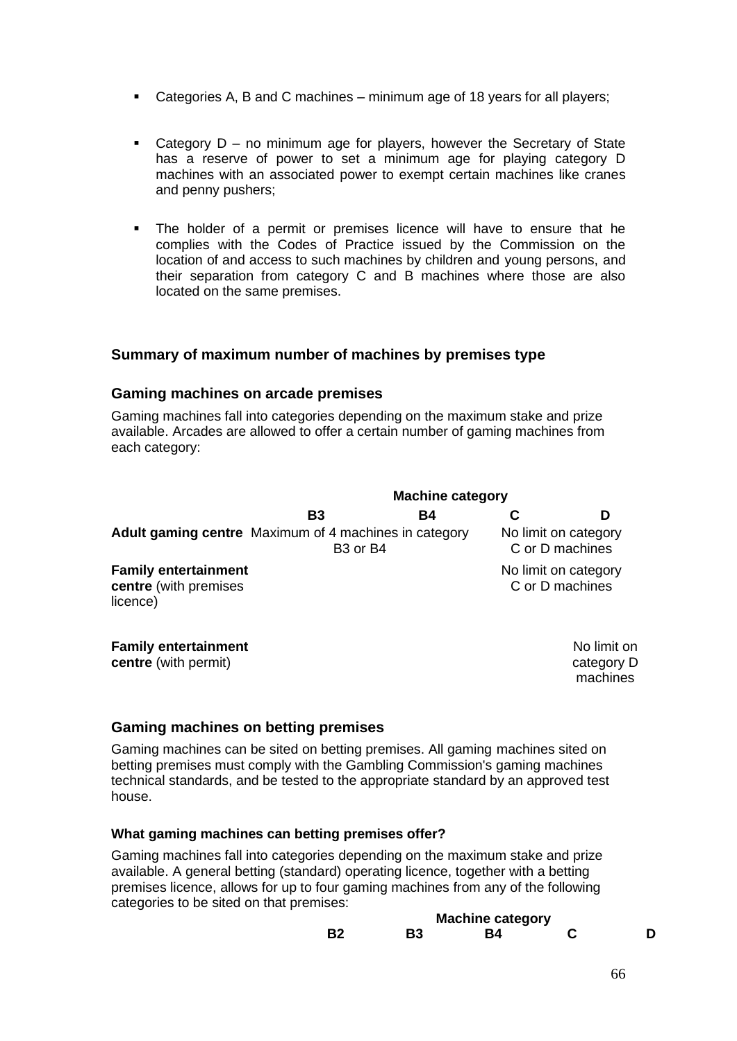- Categories A, B and C machines minimum age of 18 years for all players;
- Category  $D no$  minimum age for players, however the Secretary of State has a reserve of power to set a minimum age for playing category D machines with an associated power to exempt certain machines like cranes and penny pushers;
- The holder of a permit or premises licence will have to ensure that he complies with the Codes of Practice issued by the Commission on the location of and access to such machines by children and young persons, and their separation from category C and B machines where those are also located on the same premises.

#### **Summary of maximum number of machines by premises type**

#### **Gaming machines on arcade premises**

Gaming machines fall into categories depending on the maximum stake and prize available. Arcades are allowed to offer a certain number of gaming machines from each category:

|                                                                  | <b>Machine category</b>          |    |  |                                         |
|------------------------------------------------------------------|----------------------------------|----|--|-----------------------------------------|
|                                                                  | <b>B3</b>                        | Β4 |  | D                                       |
| <b>Adult gaming centre</b> Maximum of 4 machines in category     | B <sub>3</sub> or B <sub>4</sub> |    |  | No limit on category<br>C or D machines |
| <b>Family entertainment</b><br>centre (with premises<br>licence) |                                  |    |  | No limit on category<br>C or D machines |
| <b>Family entertainment</b><br><b>centre</b> (with permit)       |                                  |    |  | No limit on<br>category D               |

category D machines

#### **Gaming machines on betting premises**

Gaming machines can be sited on betting premises. All gaming machines sited on betting premises must comply with the Gambling Commission's [gaming machines](file:///C:/gambling_sectors/gaming_machines/holding_a_licence_what_you_ne/key_information_for_the_gaming/gaming_machine_technical_stand.aspx)  [technical standards,](file:///C:/gambling_sectors/gaming_machines/holding_a_licence_what_you_ne/key_information_for_the_gaming/gaming_machine_technical_stand.aspx) and be tested to the appropriate standard by an approved test house.

#### **What gaming machines can betting premises offer?**

Gaming machines fall into categories depending on the maximum stake and prize available. A general betting (standard) operating licence, together with a betting premises licence, allows for up to four gaming machines from any of the following categories to be sited on that premises:

| <b>Machine category</b> |    |    |  |  |  |
|-------------------------|----|----|--|--|--|
| <b>B2</b>               | B3 | R4 |  |  |  |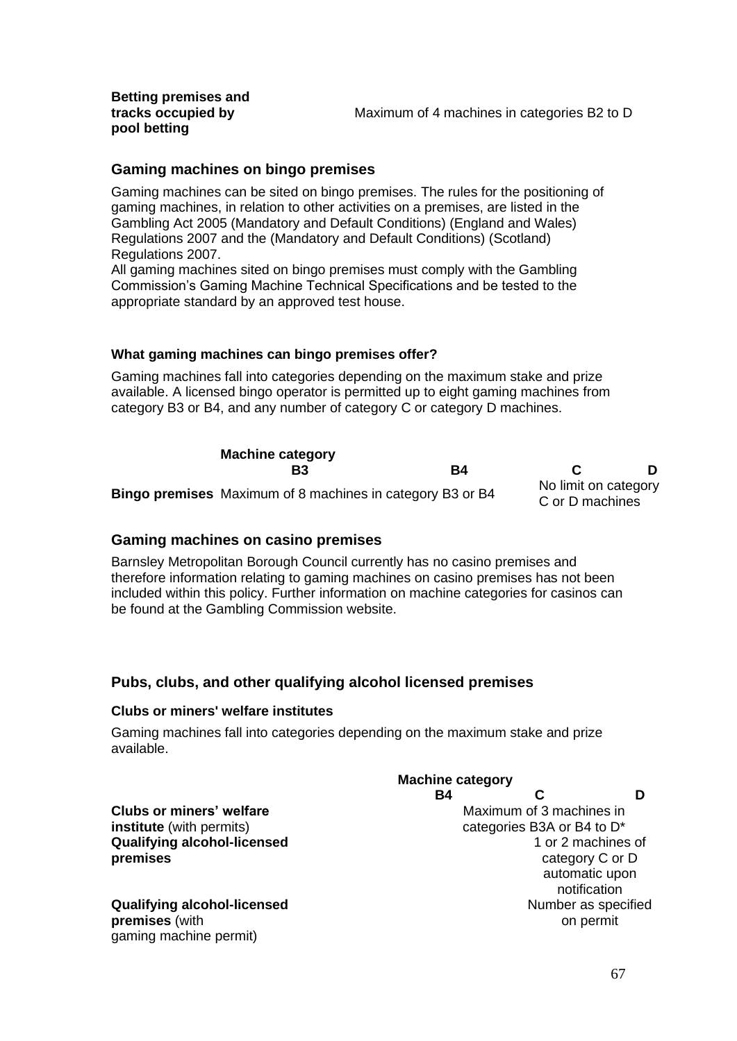**Betting premises and tracks occupied by pool betting**

#### **Gaming machines on bingo premises**

Gaming machines can be sited on bingo premises. The rules for the positioning of gaming machines, in relation to other activities on a premises, are listed in the Gambling Act 2005 (Mandatory and Default Conditions) (England and Wales) Regulations 2007 and the (Mandatory and Default Conditions) (Scotland) Regulations 2007.

All gaming machines sited on bingo premises must comply with the Gambling Commission's Gaming Machine Technical Specifications and be tested to the appropriate standard by an approved test house.

#### **What gaming machines can bingo premises offer?**

Gaming machines fall into categories depending on the maximum stake and prize available. A licensed bingo operator is permitted up to eight gaming machines from category B3 or B4, and any number of category C or category D machines.

| <b>Machine category</b>                                          |    |                                         |  |
|------------------------------------------------------------------|----|-----------------------------------------|--|
| Β3                                                               | B4 |                                         |  |
| <b>Bingo premises</b> Maximum of 8 machines in category B3 or B4 |    | No limit on category<br>C or D machines |  |

#### **Gaming machines on casino premises**

Barnsley Metropolitan Borough Council currently has no casino premises and therefore information relating to gaming machines on casino premises has not been included within this policy. Further information on machine categories for casinos can be found at the Gambling Commission website.

#### **Pubs, clubs, and other qualifying alcohol licensed premises**

#### **Clubs or miners' welfare institutes**

Gaming machines fall into categories depending on the maximum stake and prize available.

|                                    | <b>Machine category</b> |                            |                |  |
|------------------------------------|-------------------------|----------------------------|----------------|--|
|                                    | Β4                      |                            |                |  |
| Clubs or miners' welfare           |                         | Maximum of 3 machines in   |                |  |
| <b>institute</b> (with permits)    |                         | categories B3A or B4 to D* |                |  |
| <b>Qualifying alcohol-licensed</b> | 1 or 2 machines of      |                            |                |  |
| premises                           | category C or D         |                            |                |  |
|                                    |                         |                            | automatic upon |  |
|                                    |                         |                            | notification   |  |
| <b>Qualifying alcohol-licensed</b> | Number as specified     |                            |                |  |
| premises (with                     |                         |                            | on permit      |  |
| gaming machine permit)             |                         |                            |                |  |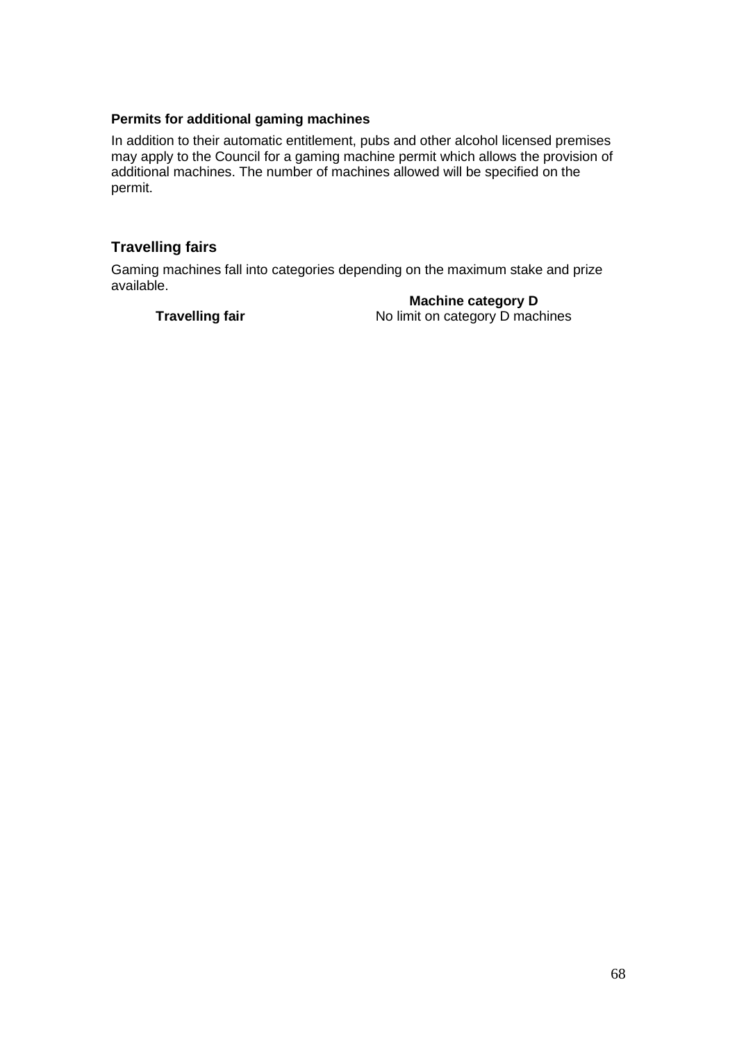#### **Permits for additional gaming machines**

In addition to their automatic entitlement, pubs and other alcohol licensed premises may apply to the Council for a gaming machine permit which allows the provision of additional machines. The number of machines allowed will be specified on the permit.

#### **Travelling fairs**

Gaming machines fall into [categories](file:///C:/gambling_sectors/gaming_machines/about_gaming_machines/about_gaming_machines/gaming_machine_categories.aspx) depending on the maximum stake and prize available.

**Machine category D**

**Travelling fair** No limit on category D machines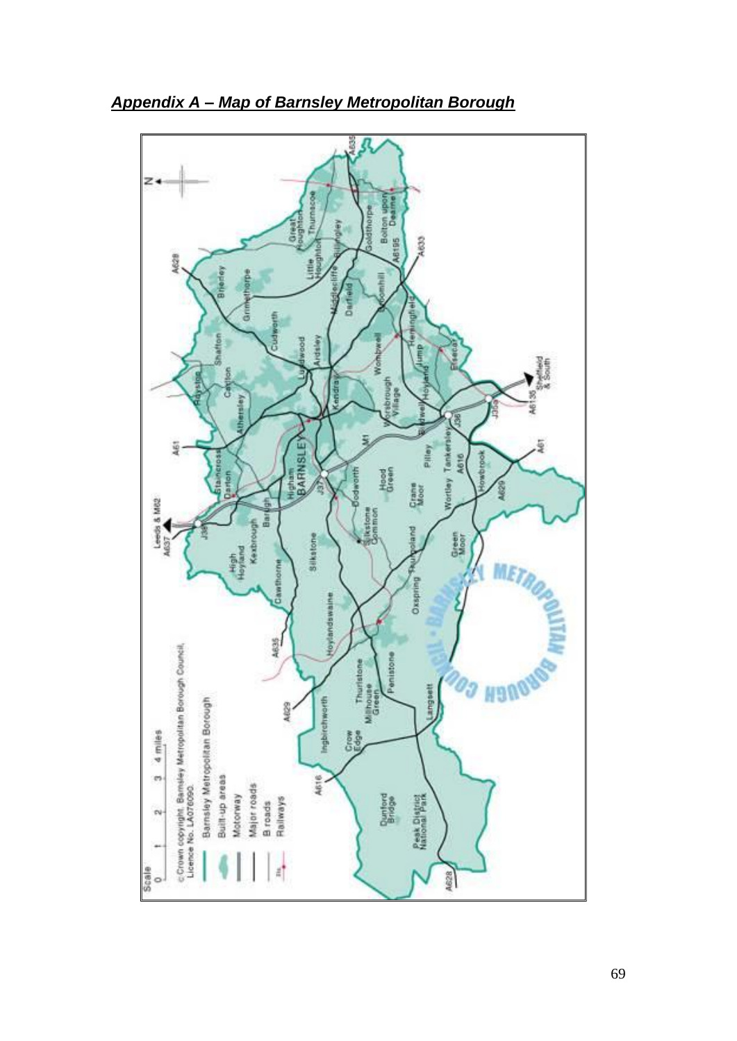

*Appendix A – Map of Barnsley Metropolitan Borough*